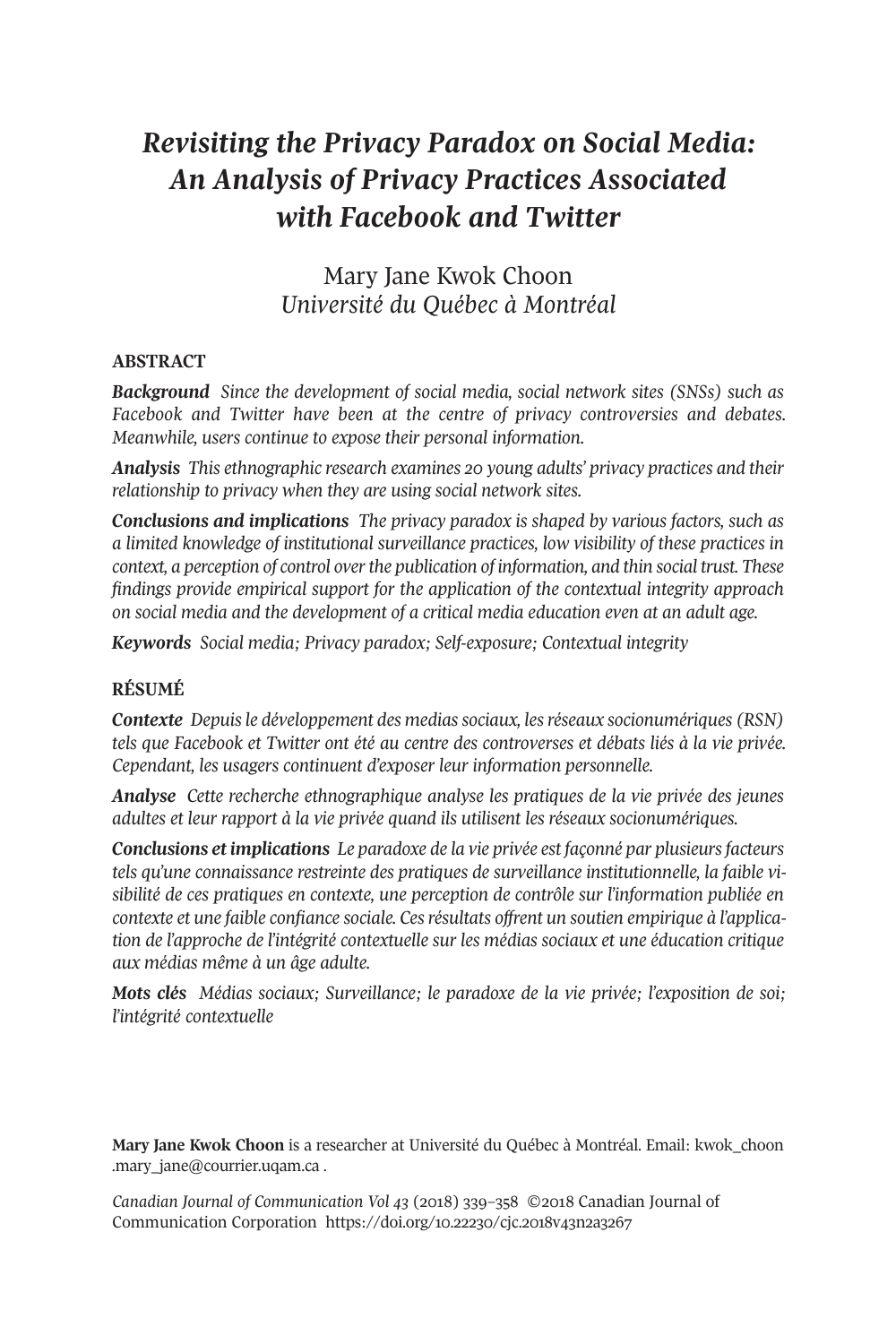# *Revisiting the Privacy Paradox on Social Media: An Analysis of Privacy Practices Associated with Facebook and Twitter*

Mary Jane Kwok Choon *Université du Québec à Montréal*

# **ABSTRACT**

*Background Since the development of social media, social network sites (SNSs) such as Facebook and Twitter have been at the centre of privacy controversies and debates. Meanwhile, users continue to expose their personal information.*

*Analysis This ethnographic research examines 20 young adults' privacy practices and their relationship to privacy when they are using social network sites.*

*Conclusions and implications The privacy paradox is shaped by various factors, such as a limited knowledge of institutional surveillance practices, low visibility of these practices in context, a perception of control overthe publication of information, and thin social trust. These findings provide empirical support for the application of the contextual integrity approach on social media and the development of a critical media education even at an adult age.*

*Keywords Social media; Privacy paradox; Self-exposure; Contextual integrity*

# **RÉSUMÉ**

*Contexte Depuisle développement des mediassociaux, lesréseaux socionumériques (RSN) tels que Facebook et Twitter ont été au centre des controverses et débats liés à la vie privée. Cependant, les usagers continuent d'exposer leur information personnelle.*

*Analyse Cette recherche ethnographique analyse les pratiques de la vie privée des jeunes adultes et leur rapport à la vie privée quand ils utilisent les réseaux socionumériques.*

*Conclusions et implications Le paradoxe de la vie privée est façonné par plusieursfacteurs tels qu'une connaissance restreinte des pratiques de surveillance institutionnelle, la faible visibilité de ces pratiques en contexte, une perception de contrôle sur l'information publiée en contexte et une faible confiance sociale. Cesrésultats offrent un soutien empirique à l'application de l'approche de l'intégrité contextuelle sur les médias sociaux et une éducation critique aux médias même à un âge adulte.*

*Mots clés Médias sociaux; Surveillance; le paradoxe de la vie privée; l'exposition de soi; l'intégrité contextuelle*

**Mary Jane Kwok Choon** is a researcher at Université du Québec à Montréal. Email: [kwok\\_choon](mailto:kwok_choon.mary_jane@courrier.uqam.ca) [.mary\\_jane@courrier.uqam.ca](mailto:kwok_choon.mary_jane@courrier.uqam.ca) .

*Canadian Journal of [Communication](http://www.cjc-online.ca) Vol 43* (2018) 339–358 ©2018 Canadian Journal of Communication Corporation <https://doi.org/10.22230/cjc.2018v43n2a3267>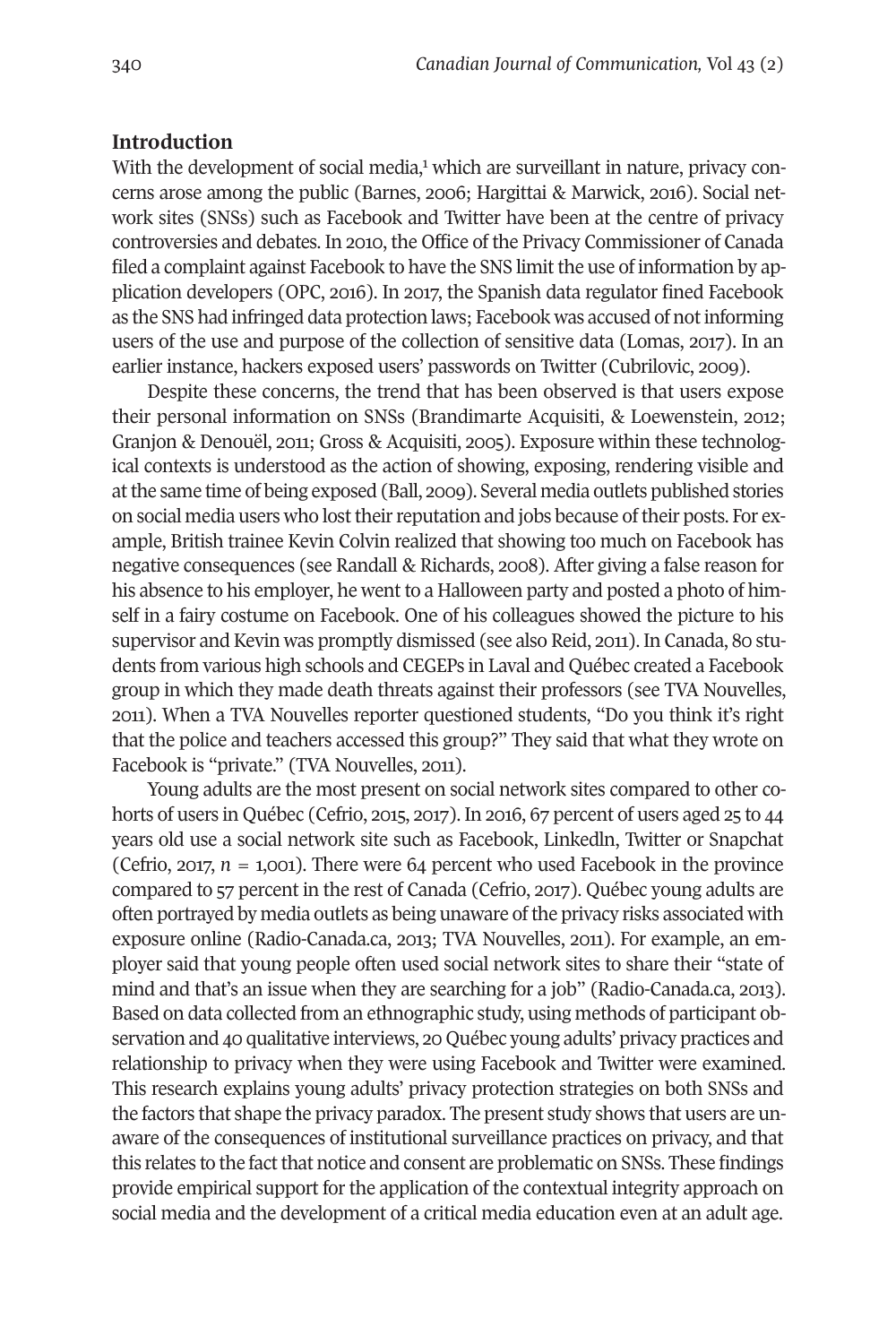# **Introduction**

With the development of social media,<sup>[1](#page-16-0)</sup> which are surveillant in nature, privacy concerns arose among the public (Barnes, 2006; Hargittai & Marwick, 2016). Social network sites (SNSs) such as Facebook and Twitter have been at the centre of privacy controversies and debates. In 2010, the Office of the Privacy Commissioner of Canada filed a complaint against Facebook to have the SNS limit the use of information by application developers (OPC, 2016). In 2017, the Spanish data regulator fined Facebook as the SNS had infringed data protection laws; Facebook was accused of notinforming users of the use and purpose of the collection of sensitive data (Lomas, 2017). In an earlier instance, hackers exposed users' passwords on Twitter (Cubrilovic, 2009).

Despite these concerns, the trend that has been observed is that users expose their personal information on SNSs (Brandimarte Acquisiti, & Loewenstein, 2012; Granjon & Denouël, 2011; Gross & Acquisiti, 2005). Exposure within these technological contexts is understood as the action of showing, exposing, rendering visible and atthe same time of being exposed (Ball, 2009). Several media outlets published stories on social media users who lost their reputation and jobs because of their posts. For example, British trainee Kevin Colvin realized that showing too much on Facebook has negative consequences (see Randall & Richards, 2008). After giving a false reason for his absence to his employer, he went to a Halloween party and posted a photo of himself in a fairy costume on Facebook. One of his colleagues showed the picture to his supervisor and Kevin was promptly dismissed (see also Reid, 2011). In Canada, 80 students from various high schools and CEGEPs in Laval and Québec created a Facebook group in which they made death threats against their professors (see TVA Nouvelles, 2011). When a TVA Nouvelles reporter questioned students, "Do you think it's right that the police and teachers accessed this group?" They said that what they wrote on Facebook is "private." (TVA Nouvelles, 2011).

Young adults are the most present on social network sites compared to other cohorts of users in Québec (Cefrio, 2015, 2017). In 2016, 67 percent of users aged 25 to 44 years old use a social network site such as Facebook, Linkedln, Twitter or Snapchat (Cefrio, 2017, *n* = 1,001). There were 64 percent who used Facebook in the province compared to 57 percent in the rest of Canada (Cefrio, 2017). Québec young adults are often portrayed by media outlets as being unaware ofthe privacy risks associated with exposure online (Radio-Canada.ca, 2013; TVA Nouvelles, 2011). For example, an employer said that young people often used social network sites to share their "state of mind and that's an issue when they are searching for a job" (Radio-Canada.ca, 2013). Based on data collected from an ethnographic study, using methods of participant observation and 40 qualitative interviews, 20 Québec young adults' privacy practices and relationship to privacy when they were using Facebook and Twitter were examined. This research explains young adults' privacy protection strategies on both SNSs and the factors that shape the privacy paradox. The present study shows that users are unaware of the consequences of institutional surveillance practices on privacy, and that this relates to the fact that notice and consent are problematic on SNSs. These findings provide empirical support for the application of the contextual integrity approach on social media and the development of a critical media education even at an adult age.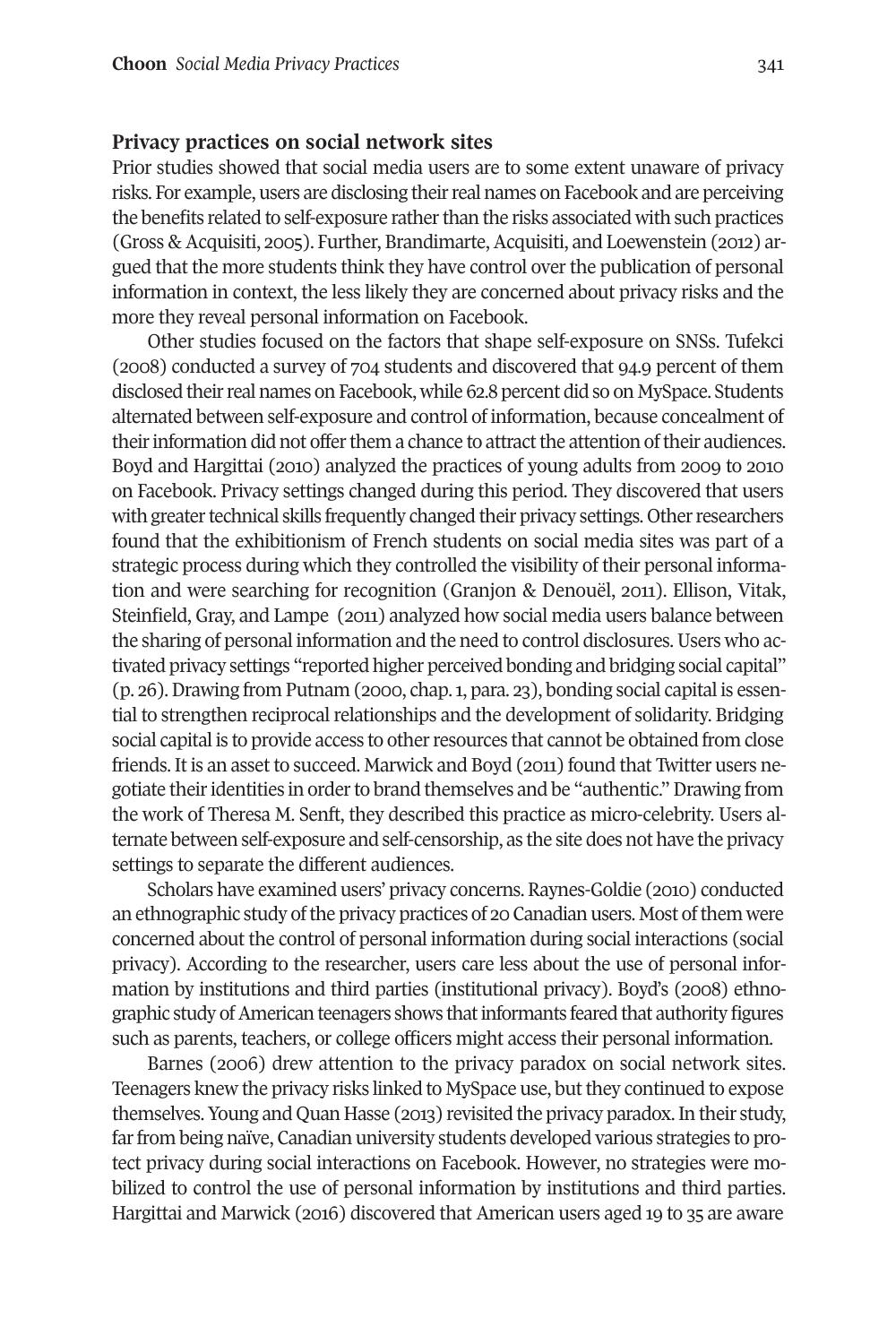#### **Privacy practices on social network sites**

Prior studies showed that social media users are to some extent unaware of privacy risks. For example, users are disclosing their real names on Facebook and are perceiving the benefits related to self-exposure rather than the risks associated with such practices (Gross & Acquisiti, 2005). Further, Brandimarte, Acquisiti, and Loewenstein (2012) argued that the more students think they have control overthe publication of personal information in context, the less likely they are concerned about privacy risks and the more they reveal personal information on Facebook.

Other studies focused on the factors that shape self-exposure on SNSs. Tufekci (2008) conducted a survey of 704 students and discovered that 94.9 percent of them disclosed theirreal names on Facebook, while 62.8 percent did so on MySpace. Students alternated between self-exposure and control of information, because concealment of their information did not offer them a chance to attract the attention of their audiences. Boyd and Hargittai (2010) analyzed the practices of young adults from 2009 to 2010 on Facebook. Privacy settings changed during this period. They discovered that users with greater technical skills frequently changed their privacy settings. Other researchers found that the exhibitionism of French students on social media sites was part of a strategic process during which they controlled the visibility of their personal information and were searching for recognition (Granjon & Denouël, 2011). Ellison, Vitak, Steinfield, Gray, and Lampe (2011) analyzed how social media users balance between the sharing of personal information and the need to control disclosures. Users who activated privacy settings "reported higher perceived bonding and bridging social capital"  $(p, 26)$ . Drawing from Putnam  $(2000,$  chap. 1, para. 23), bonding social capital is essential to strengthen reciprocal relationships and the development of solidarity. Bridging social capital is to provide access to otherresources that cannot be obtained from close friends. It is an asset to succeed. Marwick and Boyd (2011) found that Twitter users negotiate theiridentities in orderto brand themselves and be "authentic."Drawing from the work of Theresa M. Senft, they described this practice as micro-celebrity. Users alternate between self-exposure and self-censorship, as the site does not have the privacy settings to separate the different audiences.

Scholars have examined users' privacy concerns.Raynes-Goldie (2010) conducted an ethnographic study of the privacy practices of 20 Canadian users. Most of them were concerned about the control of personal information during social interactions (social privacy). According to the researcher, users care less about the use of personal information by institutions and third parties (institutional privacy). Boyd's (2008) ethnographic study of American teenagers shows that informants feared that authority figures such as parents, teachers, or college officers might access their personal information.

Barnes (2006) drew attention to the privacy paradox on social network sites. Teenagers knew the privacy risks linked to MySpace use, butthey continued to expose themselves.Young and Quan Hasse (2013) revisited the privacy paradox.In their study, farfrom being naïve, Canadian university students developed various strategies to protect privacy during social interactions on Facebook. However, no strategies were mobilized to control the use of personal information by institutions and third parties. Hargittai and Marwick (2016) discovered that American users aged 19 to 35 are aware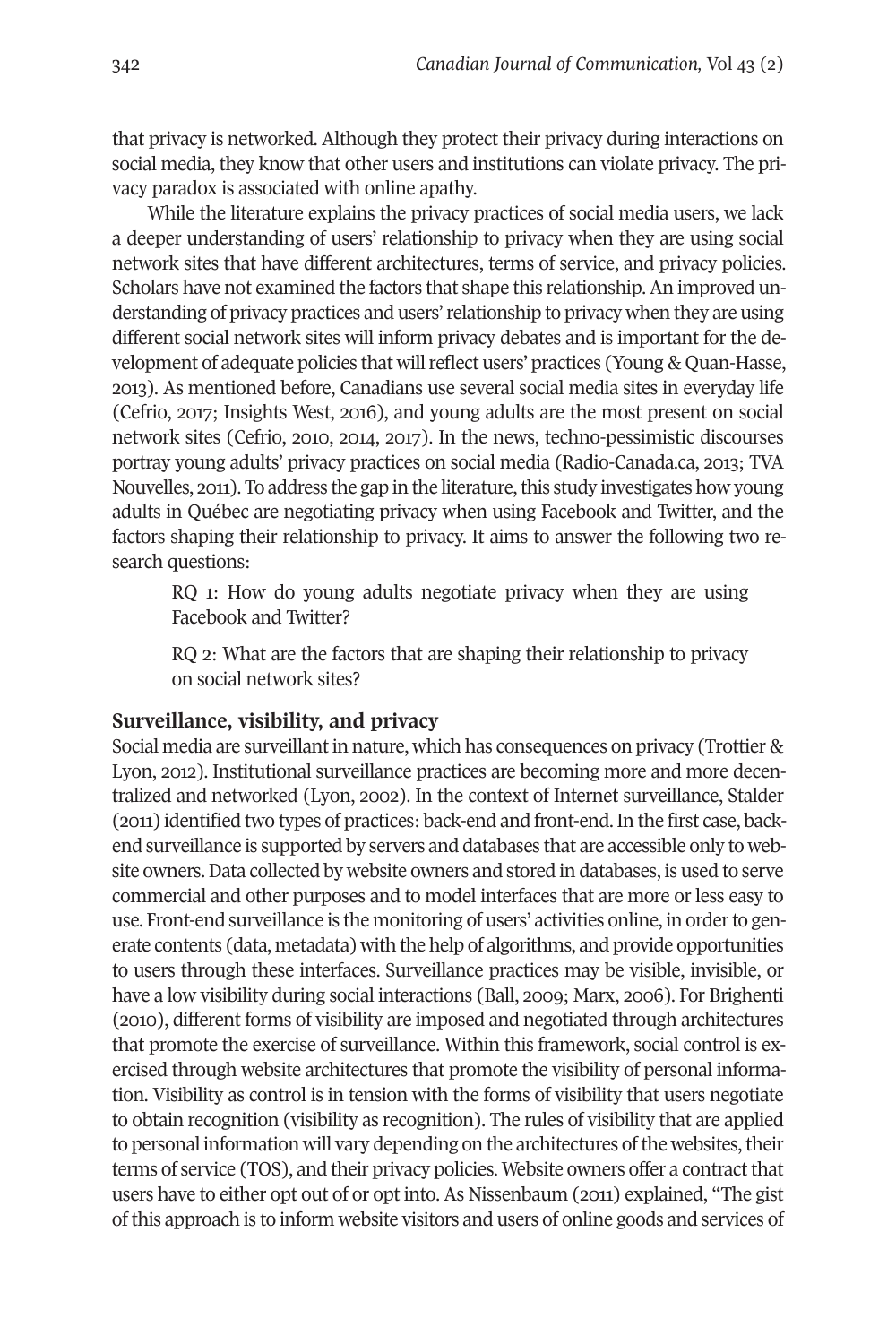that privacy is networked. Although they protect their privacy during interactions on social media, they know that other users and institutions can violate privacy. The privacy paradox is associated with online apathy.

While the literature explains the privacy practices of social media users, we lack a deeper understanding of users' relationship to privacy when they are using social network sites that have different architectures, terms of service, and privacy policies. Scholars have not examined the factors that shape this relationship. An improved understanding of privacy practices and users'relationship to privacy when they are using different social network sites will inform privacy debates and is important for the development of adequate policies that willreflect users' practices (Young & Quan-Hasse, 2013). As mentioned before, Canadians use several social media sites in everyday life (Cefrio, 2017; Insights West, 2016), and young adults are the most present on social network sites (Cefrio, 2010, 2014, 2017). In the news, techno-pessimistic discourses portray young adults' privacy practices on social media (Radio-Canada.ca, 2013; TVA Nouvelles, 2011). To address the gap in the literature, this study investigates how young adults in Québec are negotiating privacy when using Facebook and Twitter, and the factors shaping their relationship to privacy. It aims to answer the following two research questions:

RQ 1: How do young adults negotiate privacy when they are using Facebook and Twitter?

RQ 2: What are the factors that are shaping their relationship to privacy on social network sites?

# **Surveillance, visibility, and privacy**

Social media are surveillant in nature, which has consequences on privacy (Trottier & Lyon, 2012). Institutional surveillance practices are becoming more and more decentralized and networked (Lyon, 2002). In the context of Internet surveillance, Stalder (2011) identified two types of practices: back-end and front-end.In the first case, backend surveillance is supported by servers and databases that are accessible only to website owners.Data collected by website owners and stored in databases, is used to serve commercial and other purposes and to model interfaces that are more or less easy to use. Front-end surveillance is the monitoring of users' activities online, in orderto generate contents (data, metadata) with the help of algorithms, and provide opportunities to users through these interfaces. Surveillance practices may be visible, invisible, or have a low visibility during social interactions (Ball, 2009; Marx, 2006). For Brighenti (2010), different forms of visibility are imposed and negotiated through architectures that promote the exercise of surveillance. Within this framework, social control is exercised through website architectures that promote the visibility of personal information. Visibility as control is in tension with the forms of visibility that users negotiate to obtain recognition (visibility as recognition). The rules of visibility that are applied to personal information will vary depending on the architectures of the websites, their terms of service (TOS), and their privacy policies. Website owners offer a contract that users have to either opt out of or opt into. As Nissenbaum (2011) explained, "The gist of this approach is to inform website visitors and users of online goods and services of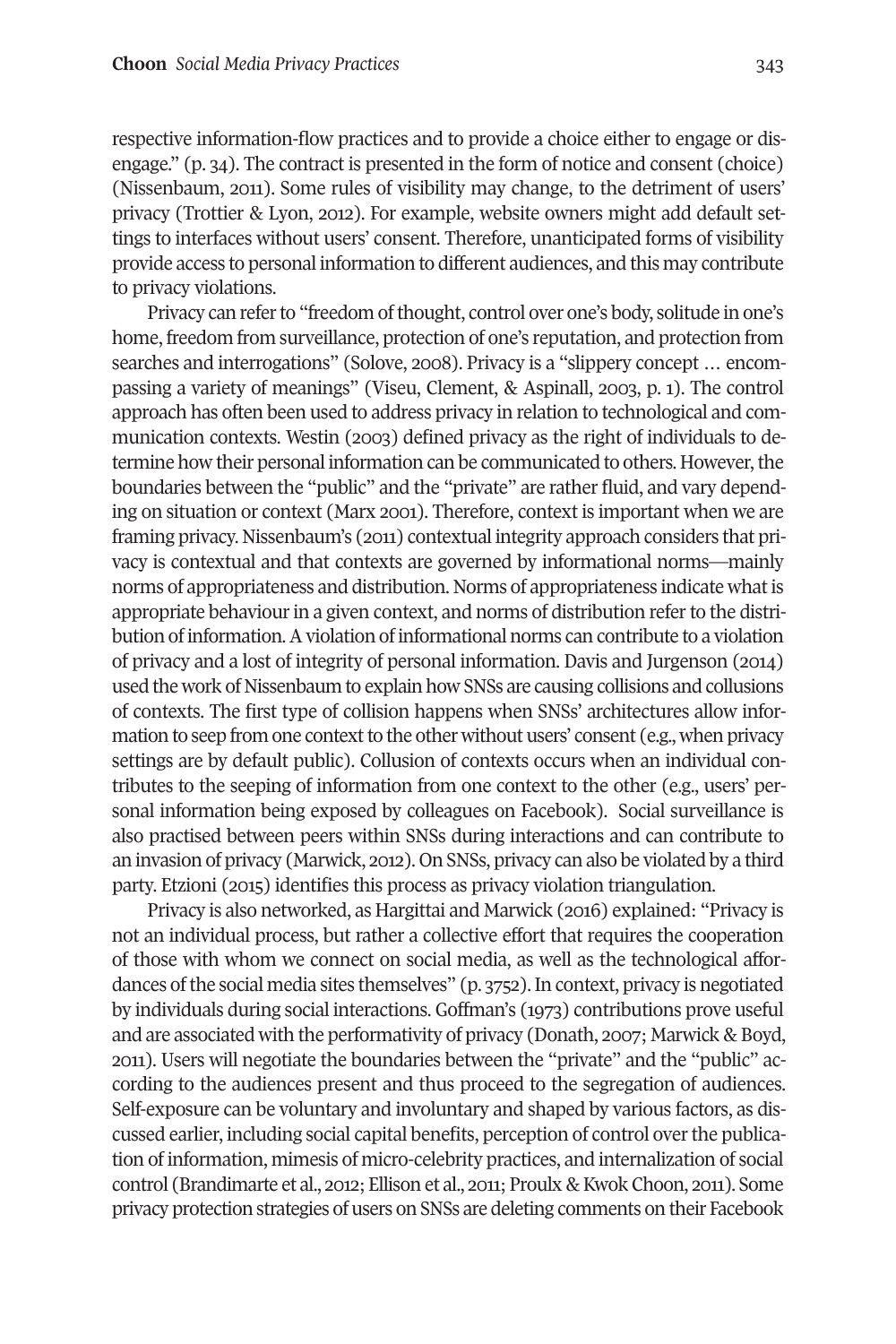respective information-flow practices and to provide a choice either to engage or disengage." (p. 34). The contract is presented in the form of notice and consent (choice) (Nissenbaum, 2011). Some rules of visibility may change, to the detriment of users' privacy (Trottier & Lyon, 2012). For example, website owners might add default settings to interfaces without users' consent. Therefore, unanticipated forms of visibility provide access to personal information to different audiences, and this may contribute to privacy violations.

Privacy can refer to "freedom of thought, control over one's body, solitude in one's home, freedom from surveillance, protection of one's reputation, and protection from searches and interrogations" (Solove, 2008). Privacy is a "slippery concept … encompassing a variety of meanings" (Viseu, Clement, & Aspinall, 2003, p. 1). The control approach has often been used to address privacy in relation to technological and communication contexts. Westin (2003) defined privacy as the right of individuals to determine how their personal information can be communicated to others. However, the boundaries between the "public" and the "private" are rather fluid, and vary depending on situation or context (Marx 2001). Therefore, context is important when we are framing privacy. Nissenbaum's (2011) contextual integrity approach considers that privacy is contextual and that contexts are governed by informational norms—mainly norms of appropriateness and distribution. Norms of appropriateness indicate whatis appropriate behaviour in a given context, and norms of distribution refer to the distribution of information.Aviolation of informational norms can contribute to a violation of privacy and a lost of integrity of personal information. Davis and Jurgenson (2014) used the work of Nissenbaum to explain how SNSs are causing collisions and collusions of contexts. The first type of collision happens when SNSs' architectures allow information to seep from one context to the other without users' consent (e.g., when privacy settings are by default public). Collusion of contexts occurs when an individual contributes to the seeping of information from one context to the other (e.g., users' personal information being exposed by colleagues on Facebook). Social surveillance is also practised between peers within SNSs during interactions and can contribute to an invasion of privacy (Marwick, 2012). On SNSs, privacy can also be violated by a third party. Etzioni (2015) identifies this process as privacy violation triangulation.

Privacy is also networked, as Hargittai and Marwick (2016) explained: "Privacy is not an individual process, but rather a collective effort that requires the cooperation of those with whom we connect on social media, as well as the technological affordances of the social media sites themselves" (p. 3752). In context, privacy is negotiated by individuals during social interactions. Goffman's (1973) contributions prove useful and are associated with the performativity of privacy (Donath, 2007; Marwick & Boyd, 2011). Users will negotiate the boundaries between the "private" and the "public" according to the audiences present and thus proceed to the segregation of audiences. Self-exposure can be voluntary and involuntary and shaped by various factors, as discussed earlier, including social capital benefits, perception of control overthe publication of information, mimesis of micro-celebrity practices, and internalization of social control (Brandimarte et al., 2012; Ellison et al., 2011; Proulx & Kwok Choon, 2011). Some privacy protection strategies of users on SNSs are deleting comments on their Facebook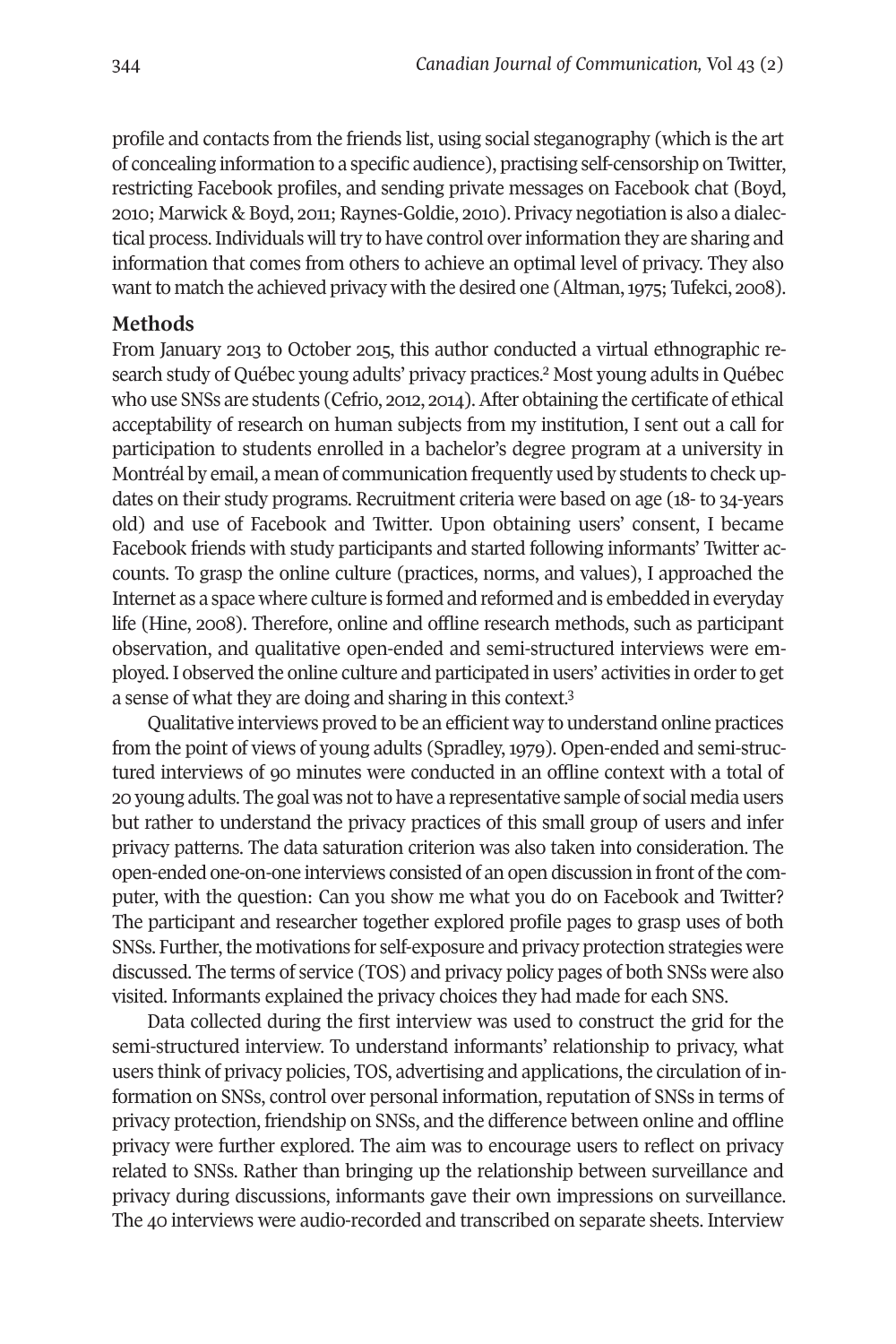profile and contacts from the friends list, using social steganography (which is the art of concealing information to a specific audience), practising self-censorship on Twitter, restricting Facebook profiles, and sending private messages on Facebook chat (Boyd, 2010; Marwick & Boyd, 2011; Raynes-Goldie, 2010). Privacy negotiation is also a dialectical process. Individuals will try to have control over information they are sharing and information that comes from others to achieve an optimal level of privacy. They also want to match the achieved privacy with the desired one (Altman, 1975; Tufekci, 2008).

# **Methods**

From January 2013 to October 2015, this author cond[uc](#page-16-1)ted a virtual ethnographic research study of Québec young adults' privacy practices. <sup>2</sup> Most young adults in Québec who use SNSs are students (Cefrio, 2012, 2014). After obtaining the certificate of ethical acceptability of research on human subjects from my institution, I sent out a call for participation to students enrolled in a bachelor's degree program at a university in Montréal by email, a mean of communication frequently used by students to check updates on their study programs. Recruitment criteria were based on age (18- to 34-years old) and use of Facebook and Twitter. Upon obtaining users' consent, I became Facebook friends with study participants and started following informants' Twitter accounts. To grasp the online culture (practices, norms, and values), I approached the Internet as a space where culture is formed and reformed and is embedded in everyday life (Hine, 2008). Therefore, online and offline research methods, such as participant observation, and qualitative open-ended and semi-structured interviews were employed.I observed the online culture and participated in u[se](#page-16-2)rs' activities in orderto get a sense of what they are doing and sharing in this context.<sup>3</sup>

Qualitative interviews proved to be an efficient way to understand online practices from the point of views of young adults (Spradley, 1979). Open-ended and semi-structured interviews of 90 minutes were conducted in an offline context with a total of 20 young adults. The goal was notto have a representative sample of social media users but rather to understand the privacy practices of this small group of users and infer privacy patterns. The data saturation criterion was also taken into consideration. The open-ended one-on-one interviews consisted of an open discussion in front ofthe computer, with the question: Can you show me what you do on Facebook and Twitter? The participant and researcher together explored profile pages to grasp uses of both SNSs. Further, the motivations for self-exposure and privacy protection strategies were discussed. The terms of service (TOS) and privacy policy pages of both SNSs were also visited. Informants explained the privacy choices they had made for each SNS.

Data collected during the first interview was used to construct the grid for the semi-structured interview. To understand informants' relationship to privacy, what users think of privacy policies, TOS, advertising and applications, the circulation of information on SNSs, control over personal information, reputation of SNSs in terms of privacy protection, friendship on SNSs, and the difference between online and offline privacy were further explored. The aim was to encourage users to reflect on privacy related to SNSs. Rather than bringing up the relationship between surveillance and privacy during discussions, informants gave their own impressions on surveillance. The 40 interviews were audio-recorded and transcribed on separate sheets. Interview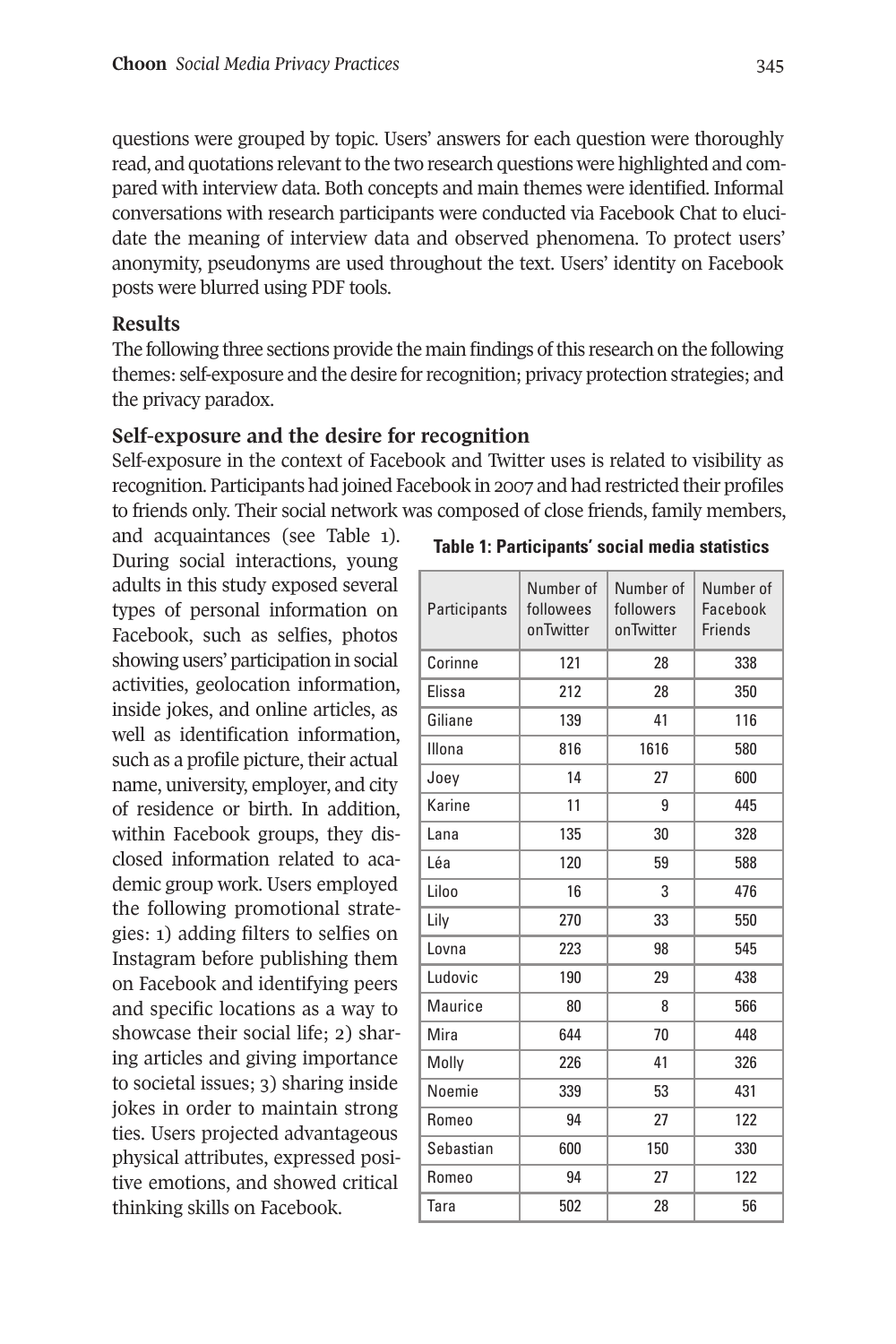questions were grouped by topic. Users' answers for each question were thoroughly read, and quotations relevant to the two research questions were highlighted and compared with interview data. Both concepts and main themes were identified. Informal conversations with research participants were conducted via Facebook Chat to elucidate the meaning of interview data and observed phenomena. To protect users' anonymity, pseudonyms are used throughout the text. Users' identity on Facebook posts were blurred using PDF tools.

# **Results**

The following three sections provide the main findings ofthis research on the following themes: self-exposure and the desire forrecognition; privacy protection strategies; and the privacy paradox.

# **Self-exposure and the desire for recognition**

Self-exposure in the context of Facebook and Twitter uses is related to visibility as recognition. Participants had joined Facebook in 2007 and had restricted their profiles to friends only. Their social network was composed of close friends, family members,

and acquaintances (see Table 1). During social interactions, young adults in this study exposed several types of personal information on Facebook, such as selfies, photos showing users' participation in social activities, geolocation information, inside jokes, and online articles, as well as identification information, such as a profile picture, their actual name, university, employer, and city of residence or birth. In addition, within Facebook groups, they disclosed information related to academic group work. Users employed the following promotional strategies: 1) adding filters to selfies on Instagram before publishing them on Facebook and identifying peers and specific locations as a way to showcase their social life; 2) sharing articles and giving importance to societal issues; 3) sharing inside jokes in order to maintain strong ties. Users projected advantageous physical attributes, expressed positive emotions, and showed critical thinking skills on Facebook.

# **Table 1: Participants' social media statistics**

| Participants | Number of<br>followees<br>onTwitter | Number of<br>followers<br>onTwitter | Number of<br>Facebook<br><b>Friends</b> |
|--------------|-------------------------------------|-------------------------------------|-----------------------------------------|
| Corinne      | 121                                 | 28                                  | 338                                     |
| Elissa       | 212                                 | 28                                  | 350                                     |
| Giliane      | 139                                 | 41                                  | 116                                     |
| Illona       | 816                                 | 1616                                | 580                                     |
| Joey         | 14                                  | 27                                  | 600                                     |
| Karine       | 11                                  | 9                                   | 445                                     |
| Lana         | 135                                 | 30                                  | 328                                     |
| Léa          | 120                                 | 59                                  | 588                                     |
| Liloo        | 16                                  | 3                                   | 476                                     |
| Lily         | 270                                 | 33                                  | 550                                     |
| Lovna        | 223                                 | 98                                  | 545                                     |
| Ludovic      | 190                                 | 29                                  | 438                                     |
| Maurice      | 80                                  | 8                                   | 566                                     |
| Mira         | 644                                 | 70                                  | 448                                     |
| Molly        | 226                                 | 41                                  | 326                                     |
| Noemie       | 339                                 | 53                                  | 431                                     |
| Romeo        | 94                                  | 27                                  | 122                                     |
| Sebastian    | 600                                 | 150                                 | 330                                     |
| Romeo        | 94                                  | 27                                  | 122                                     |
| Tara         | 502                                 | 28                                  | 56                                      |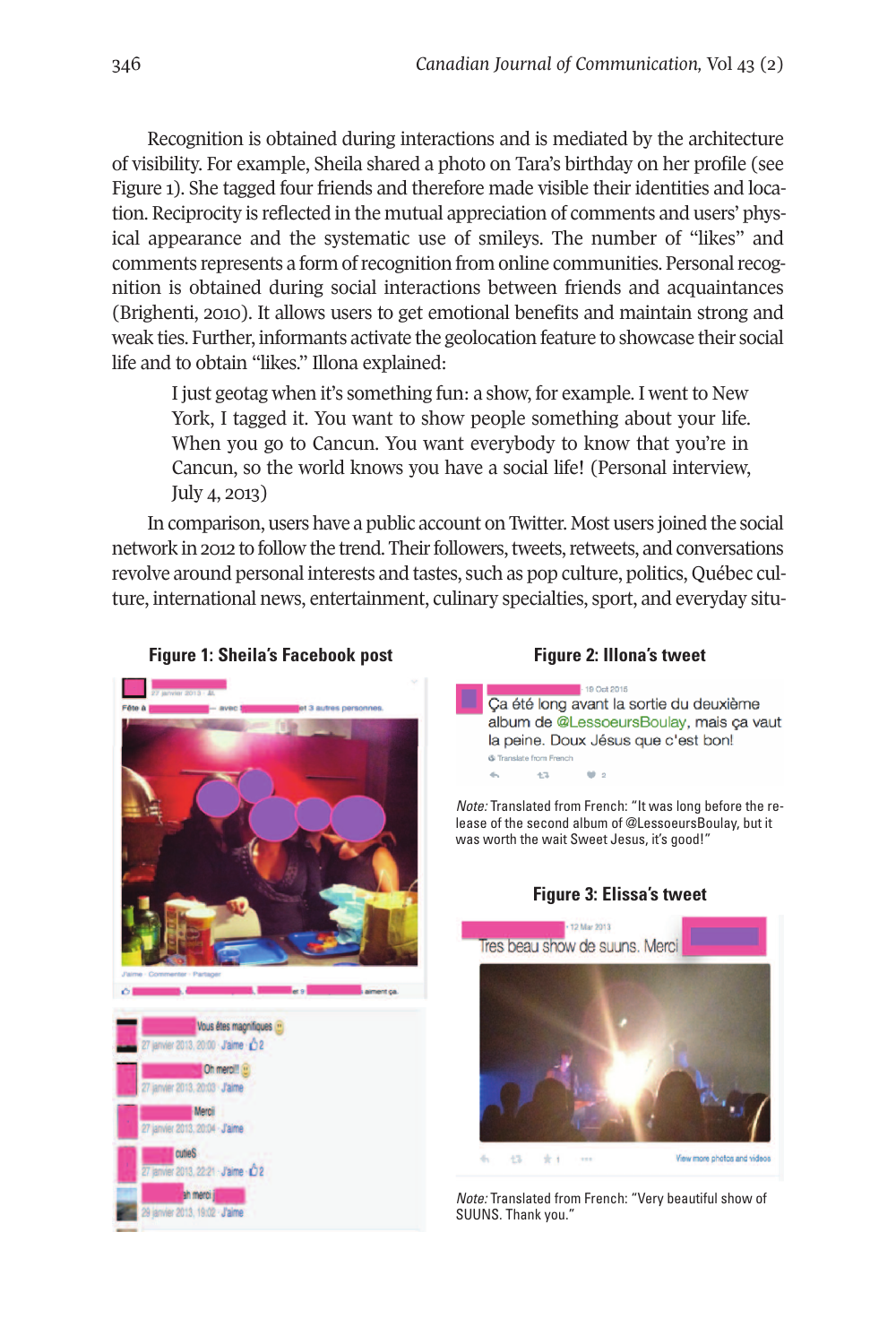Recognition is obtained during interactions and is mediated by the architecture of visibility. For example, Sheila shared a photo on Tara's birthday on her profile (see Figure 1). She tagged four friends and therefore made visible their identities and location. Reciprocity is reflected in the mutual appreciation of comments and users' physical appearance and the systematic use of smileys. The number of "likes" and comments represents a form of recognition from online communities. Personal recognition is obtained during social interactions between friends and acquaintances (Brighenti, 2010). It allows users to get emotional benefits and maintain strong and weak ties. Further, informants activate the geolocation feature to showcase their social life and to obtain "likes." Illona explained:

I just geotag when it's something fun: a show, for example. I went to New York, I tagged it. You want to show people something about your life. When you go to Cancun. You want everybody to know that you're in Cancun, so the world knows you have a social life! (Personal interview, July 4, 2013)

In comparison, users have a public account on Twitter. Most users joined the social network in 2012 to follow the trend. Their followers, tweets, retweets, and conversations revolve around personal interests and tastes, such as pop culture, politics, Québec culture, international news, entertainment, culinary specialties, sport, and everyday situ-



1-19 Oct 2015 Ça été long avant la sortie du deuxième album de @LessoeursBoulay, mais ça vaut la peine. Doux Jésus que c'est bon! **S** Translate from French  $\Phi_{\rm{B}}$ 17  $\Psi$  2

*Note:* Translated from French: "It was long before the release of the second album of @LessoeursBoulay, but it was worth the wait Sweet Jesus, it's good!"



*Note:* Translated from French: "Very beautiful show of SUUNS. Thank you."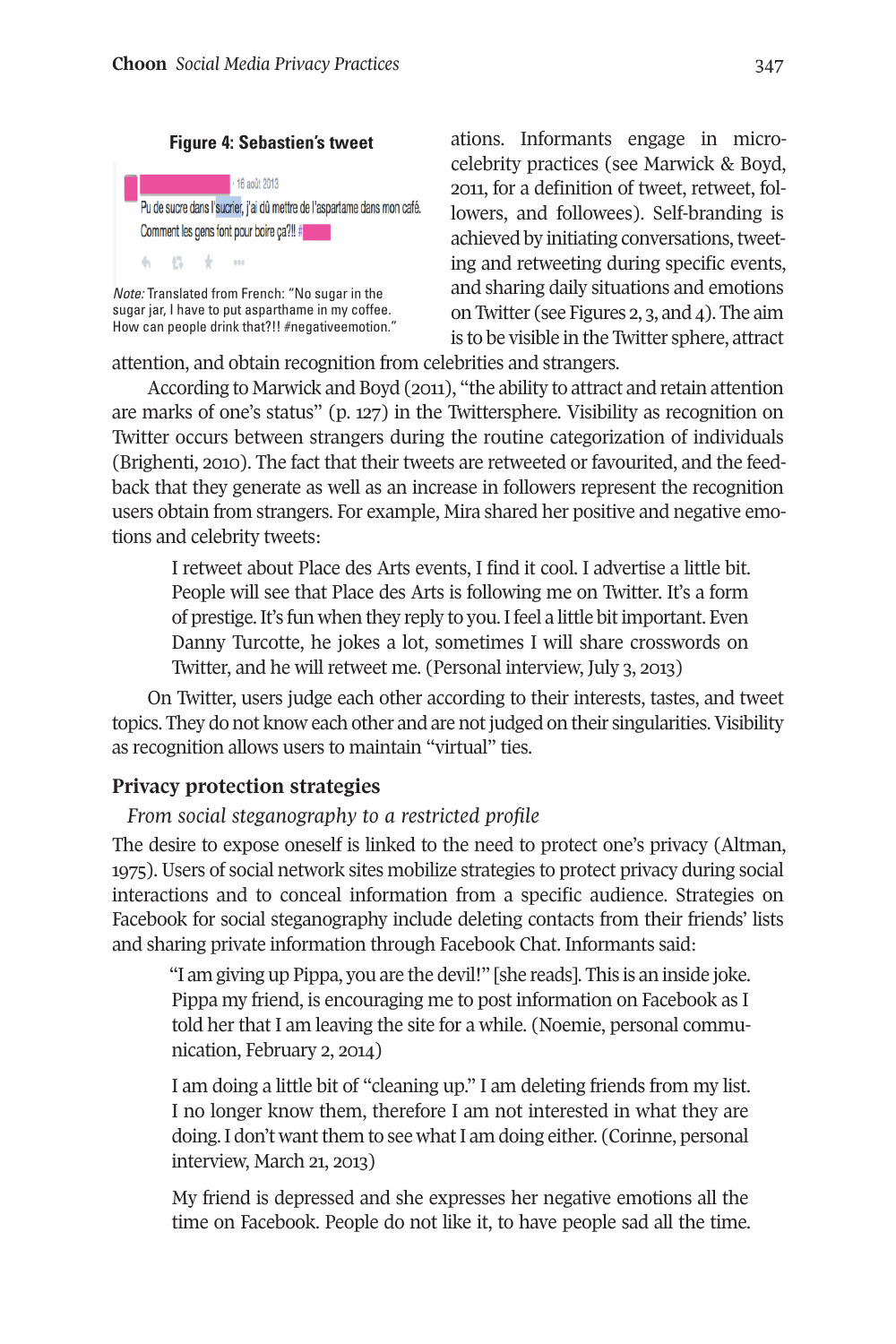#### **Figure 4: Sebastien's tweet**

16 août 2013 Pu de sucre dans l'sucrier, i'ai dû mettre de l'aspartame dans mon café. Comment les gens font pour boire ça?!! # 代 6. ÷

*Note:* Translated from French: "No sugar in the sugar jar, I have to put asparthame in my coffee. How can people drink that?!! #negativeemotion." ations. Informants engage in microcelebrity practices (see Marwick & Boyd, 2011, for a definition of tweet, retweet, followers, and followees). Self-branding is achieved by initiating conversations, tweeting and retweeting during specific events, and sharing daily situations and emotions on Twitter (see Figures 2, 3, and 4). The aim is to be visible in the Twitter sphere, attract

attention, and obtain recognition from celebrities and strangers.

According to Marwick and Boyd (2011), "the ability to attract and retain attention are marks of one's status" (p. 127) in the Twittersphere. Visibility as recognition on Twitter occurs between strangers during the routine categorization of individuals (Brighenti, 2010). The fact that their tweets are retweeted or favourited, and the feedback that they generate as well as an increase in followers represent the recognition users obtain from strangers. For example, Mira shared her positive and negative emotions and celebrity tweets:

I retweet about Place des Arts events, I find it cool. I advertise a little bit. People will see that Place des Arts is following me on Twitter. It's a form of prestige. It's fun when they reply to you. I feel a little bit important. Even Danny Turcotte, he jokes a lot, sometimes I will share crosswords on Twitter, and he will retweet me. (Personal interview, July 3, 2013)

On Twitter, users judge each other according to their interests, tastes, and tweet topics. They do not know each other and are not judged on their singularities. Visibility as recognition allows users to maintain "virtual" ties.

# **Privacy protection strategies**

*From social steganography to a restricted profile*

The desire to expose oneself is linked to the need to protect one's privacy (Altman, 1975). Users of social network sites mobilize strategies to protect privacy during social interactions and to conceal information from a specific audience. Strategies on Facebook for social steganography include deleting contacts from their friends' lists and sharing private information through Facebook Chat. Informants said:

"I am giving up Pippa, you are the devil!" [she reads]. This is an inside joke. Pippa my friend, is encouraging me to post information on Facebook as I told her that I am leaving the site for a while. (Noemie, personal communication, February 2, 2014)

I am doing a little bit of "cleaning up." I am deleting friends from my list. I no longer know them, therefore I am not interested in what they are doing. I don't want them to see what I am doing either. (Corinne, personal interview, March 21, 2013)

My friend is depressed and she expresses her negative emotions all the time on Facebook. People do not like it, to have people sad all the time.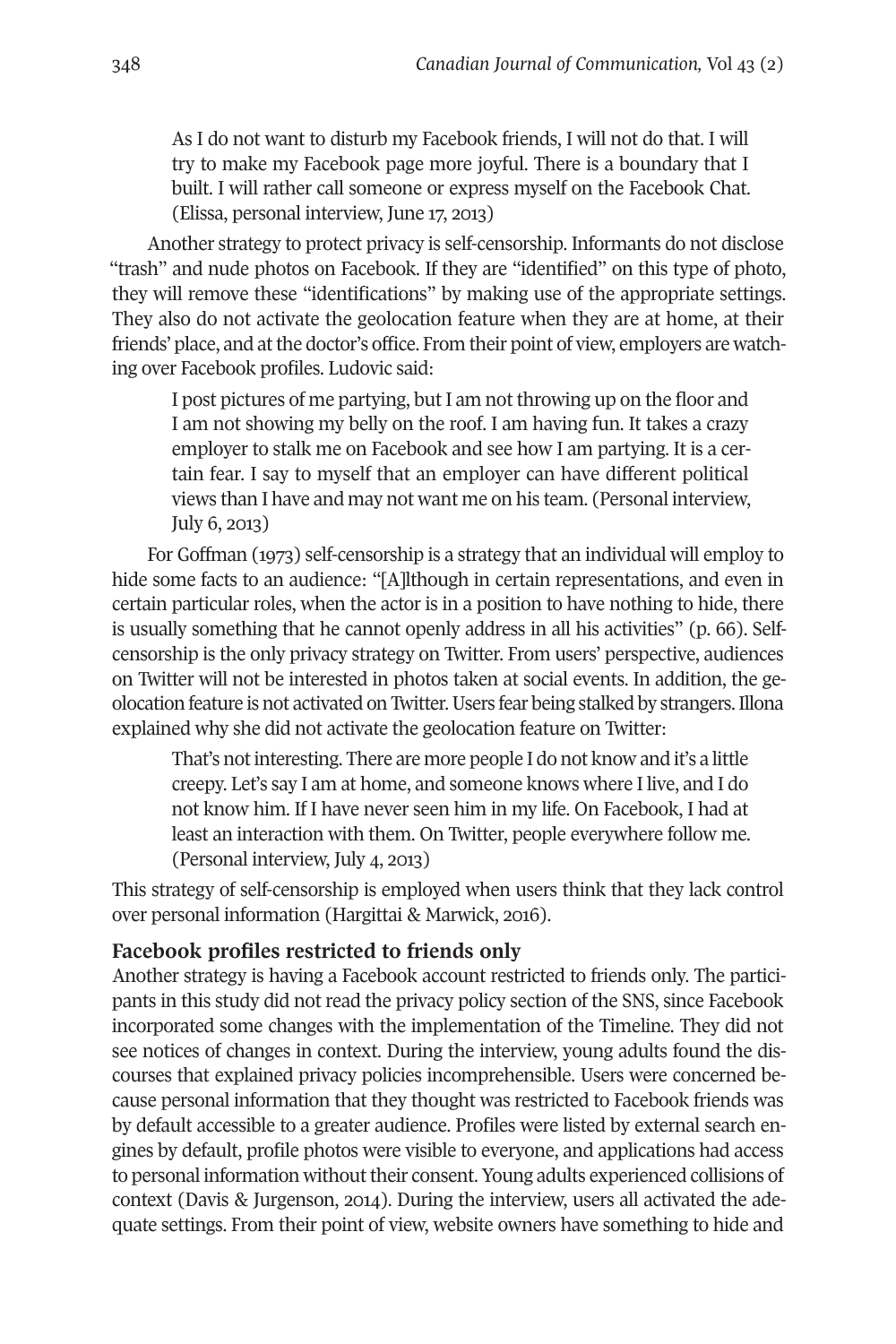As I do not want to disturb my Facebook friends, I will not do that. I will try to make my Facebook page more joyful. There is a boundary that I built. I will rather call someone or express myself on the Facebook Chat. (Elissa, personal interview, June 17, 2013)

Another strategy to protect privacy is self-censorship. Informants do not disclose "trash" and nude photos on Facebook. If they are "identified" on this type of photo, they will remove these "identifications" by making use of the appropriate settings. They also do not activate the geolocation feature when they are at home, at their friends' place, and at the doctor's office. From their point of view, employers are watching over Facebook profiles. Ludovic said:

I post pictures of me partying, but I am not throwing up on the floor and I am not showing my belly on the roof. I am having fun. It takes a crazy employer to stalk me on Facebook and see how I am partying. It is a certain fear. I say to myself that an employer can have different political views than I have and may not want me on his team. (Personal interview, July 6, 2013)

For Goffman (1973) self-censorship is a strategy that an individual will employ to hide some facts to an audience: "[A]lthough in certain representations, and even in certain particular roles, when the actor is in a position to have nothing to hide, there is usually something that he cannot openly address in all his activities" (p. 66). Selfcensorship is the only privacy strategy on Twitter. From users' perspective, audiences on Twitter will not be interested in photos taken at social events. In addition, the geolocation feature is not activated on Twitter.Users fear being stalked by strangers.Illona explained why she did not activate the geolocation feature on Twitter:

That's not interesting. There are more people I do not know and it's a little creepy. Let's say I am at home, and someone knows where I live, and I do not know him. If I have never seen him in my life. On Facebook, I had at least an interaction with them. On Twitter, people everywhere follow me. (Personal interview, July 4, 2013)

This strategy of self-censorship is employed when users think that they lack control over personal information (Hargittai & Marwick, 2016).

# **Facebook profiles restricted to friends only**

Another strategy is having a Facebook account restricted to friends only. The participants in this study did not read the privacy policy section of the SNS, since Facebook incorporated some changes with the implementation of the Timeline. They did not see notices of changes in context. During the interview, young adults found the discourses that explained privacy policies incomprehensible. Users were concerned because personal information that they thought was restricted to Facebook friends was by default accessible to a greater audience. Profiles were listed by external search engines by default, profile photos were visible to everyone, and applications had access to personal information without their consent. Young adults experienced collisions of context (Davis & Jurgenson, 2014). During the interview, users all activated the adequate settings. From their point of view, website owners have something to hide and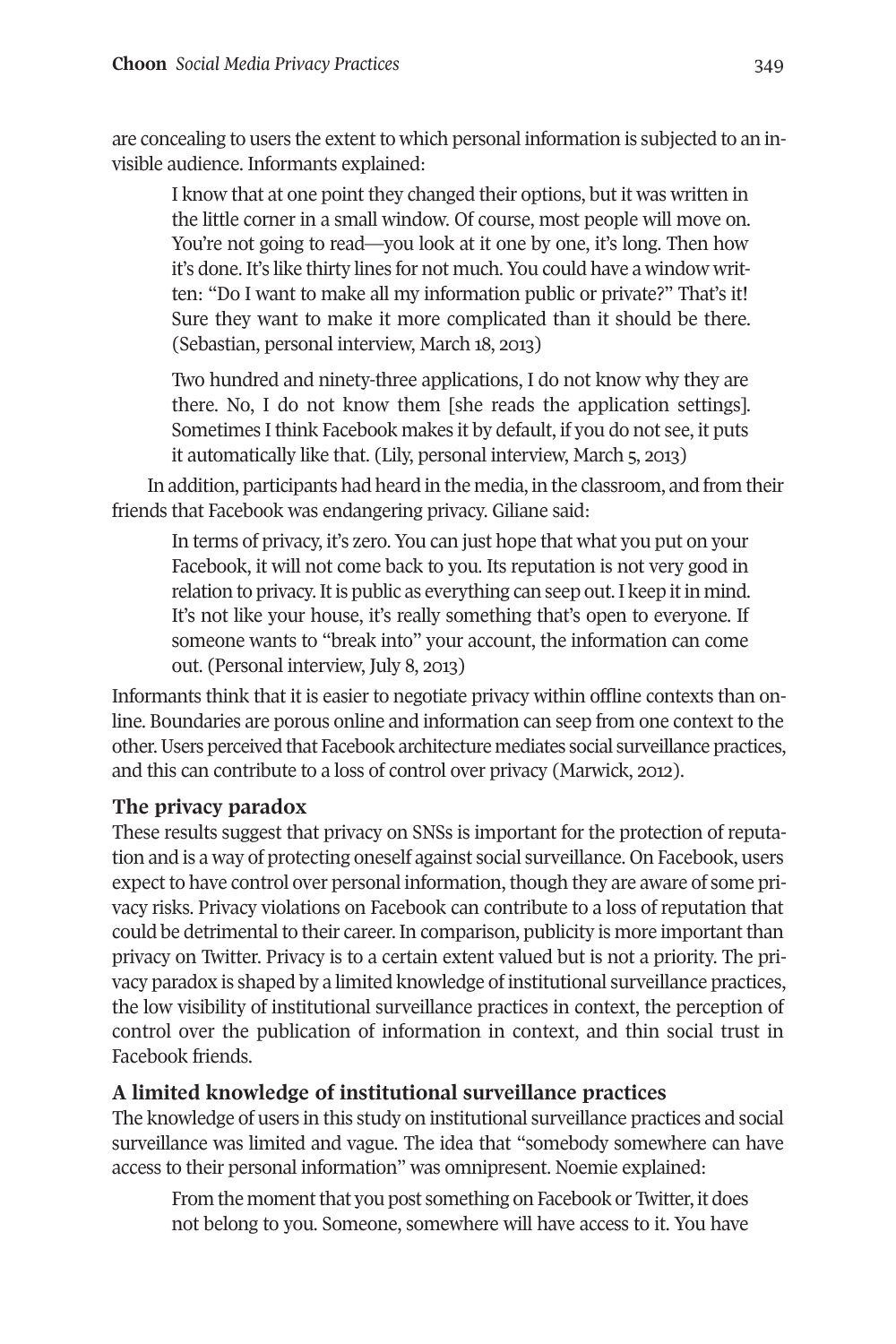are concealing to users the extent to which personal information is subjected to an invisible audience. Informants explained:

I know that at one point they changed their options, but it was written in the little corner in a small window. Of course, most people will move on. You're not going to read—you look at it one by one, it's long. Then how it's done. It's like thirty lines for not much. You could have a window written: "Do I want to make all my information public or private?" That's it! Sure they want to make it more complicated than it should be there. (Sebastian, personal interview, March 18, 2013)

Two hundred and ninety-three applications, I do not know why they are there. No, I do not know them [she reads the application settings]. Sometimes I think Facebook makes it by default, if you do not see, it puts it automatically like that. (Lily, personal interview, March 5, 2013)

In addition, participants had heard in the media, in the classroom, and from their friends that Facebook was endangering privacy. Giliane said:

In terms of privacy, it's zero. You can just hope that what you put on your Facebook, it will not come back to you. Its reputation is not very good in relation to privacy. It is public as everything can seep out. I keep it in mind. It's not like your house, it's really something that's open to everyone. If someone wants to "break into" your account, the information can come out. (Personal interview, July 8, 2013)

Informants think that it is easier to negotiate privacy within offline contexts than online. Boundaries are porous online and information can seep from one context to the other.Users perceived that Facebook architecture mediates social surveillance practices, and this can contribute to a loss of control over privacy (Marwick, 2012).

# **The privacy paradox**

These results suggest that privacy on SNSs is important for the protection of reputation and is a way of protecting oneself against social surveillance. On Facebook, users expect to have control over personal information, though they are aware of some privacy risks. Privacy violations on Facebook can contribute to a loss of reputation that could be detrimental to their career. In comparison, publicity is more important than privacy on Twitter. Privacy is to a certain extent valued but is not a priority. The privacy paradox is shaped by a limited knowledge of institutional surveillance practices, the low visibility of institutional surveillance practices in context, the perception of control over the publication of information in context, and thin social trust in Facebook friends.

# **A limited knowledge of institutional surveillance practices**

The knowledge of users in this study on institutional surveillance practices and social surveillance was limited and vague. The idea that "somebody somewhere can have access to their personal information" was omnipresent. Noemie explained:

From the moment that you post something on Facebook or Twitter, it does not belong to you. Someone, somewhere will have access to it. You have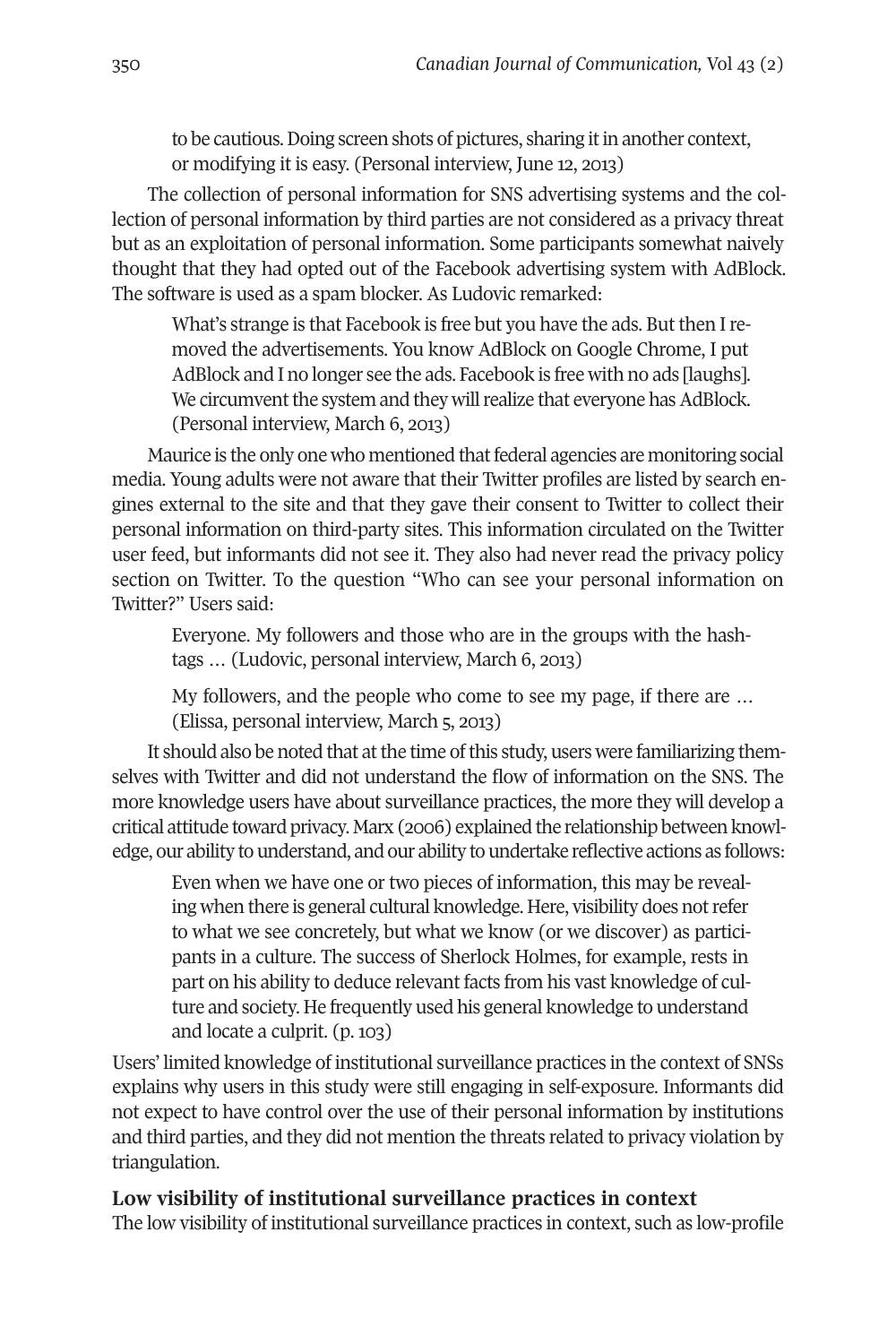to be cautious. Doing screen shots of pictures, sharing it in another context, or modifying it is easy. (Personal interview, June 12, 2013)

The collection of personal information for SNS advertising systems and the collection of personal information by third parties are not considered as a privacy threat but as an exploitation of personal information. Some participants somewhat naively thought that they had opted out of the Facebook advertising system with AdBlock. The software is used as a spam blocker. As Ludovic remarked:

What's strange is that Facebook is free but you have the ads. But then Iremoved the advertisements. You know AdBlock on Google Chrome, I put AdBlock and I no longer see the ads. Facebook is free with no ads [laughs]. We circumvent the system and they will realize that everyone has AdBlock. (Personal interview, March 6, 2013)

Maurice is the only one who mentioned that federal agencies are monitoring social media. Young adults were not aware that their Twitter profiles are listed by search engines external to the site and that they gave their consent to Twitter to collect their personal information on third-party sites. This information circulated on the Twitter user feed, but informants did not see it. They also had never read the privacy policy section on Twitter. To the question "Who can see your personal information on Twitter?" Users said:

Everyone. My followers and those who are in the groups with the hashtags … (Ludovic, personal interview, March 6, 2013)

My followers, and the people who come to see my page, if there are … (Elissa, personal interview, March 5, 2013)

It should also be noted that at the time of this study, users were familiarizing themselves with Twitter and did not understand the flow of information on the SNS. The more knowledge users have about surveillance practices, the more they will develop a critical attitude toward privacy. Marx (2006) explained the relationship between knowledge, our ability to understand, and our ability to undertake reflective actions as follows:

Even when we have one or two pieces of information, this may be revealing when there is general cultural knowledge. Here, visibility does notrefer to what we see concretely, but what we know (or we discover) as participants in a culture. The success of Sherlock Holmes, for example, rests in part on his ability to deduce relevant facts from his vast knowledge of culture and society. He frequently used his general knowledge to understand and locate a culprit. (p. 103)

Users' limited knowledge of institutional surveillance practices in the context of SNSs explains why users in this study were still engaging in self-exposure. Informants did not expect to have control over the use of their personal information by institutions and third parties, and they did not mention the threats related to privacy violation by triangulation.

# **Low visibility of institutional surveillance practices in context**

The low visibility of institutional surveillance practices in context, such as low-profile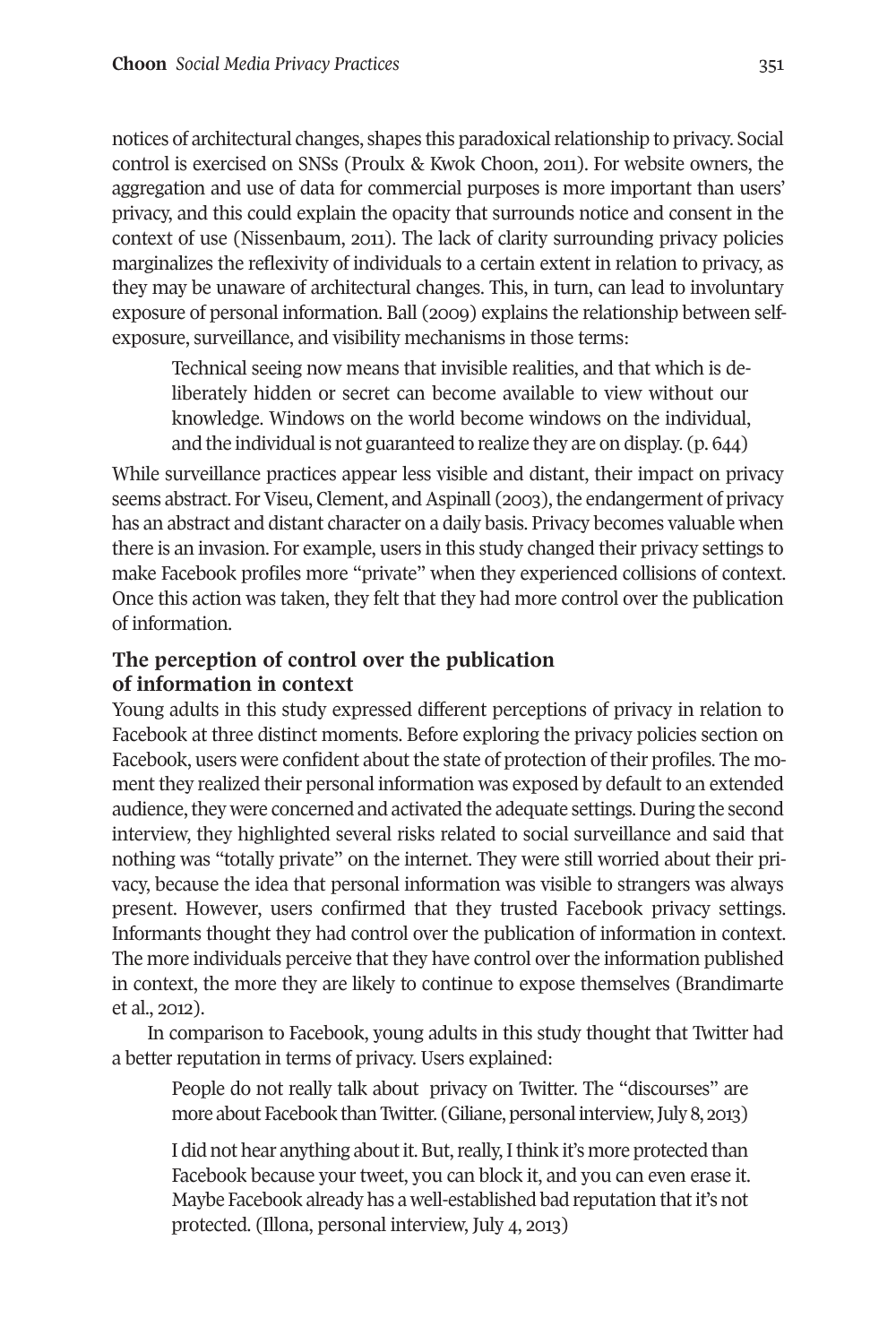notices of architectural changes, shapes this paradoxical relationship to privacy. Social control is exercised on SNSs (Proulx & Kwok Choon, 2011). For website owners, the aggregation and use of data for commercial purposes is more important than users' privacy, and this could explain the opacity that surrounds notice and consent in the context of use (Nissenbaum, 2011). The lack of clarity surrounding privacy policies marginalizes the reflexivity of individuals to a certain extent in relation to privacy, as they may be unaware of architectural changes. This, in turn, can lead to involuntary exposure of personal information. Ball (2009) explains the relationship between selfexposure, surveillance, and visibility mechanisms in those terms:

Technical seeing now means that invisible realities, and that which is deliberately hidden or secret can become available to view without our knowledge. Windows on the world become windows on the individual, and the individual is not guaranteed to realize they are on display. (p. 644)

While surveillance practices appear less visible and distant, their impact on privacy seems abstract. For Viseu, Clement, and Aspinall (2003), the endangerment of privacy has an abstract and distant character on a daily basis. Privacy becomes valuable when there is an invasion. For example, users in this study changed their privacy settings to make Facebook profiles more "private" when they experienced collisions of context. Once this action was taken, they felt that they had more control over the publication of information.

# **The perception of control over the publication of information in context**

Young adults in this study expressed different perceptions of privacy in relation to Facebook at three distinct moments. Before exploring the privacy policies section on Facebook, users were confident about the state of protection of their profiles. The moment they realized their personal information was exposed by default to an extended audience, they were concerned and activated the adequate settings. During the second interview, they highlighted several risks related to social surveillance and said that nothing was "totally private" on the internet. They were still worried about their privacy, because the idea that personal information was visible to strangers was always present. However, users confirmed that they trusted Facebook privacy settings. Informants thought they had control over the publication of information in context. The more individuals perceive that they have control overthe information published in context, the more they are likely to continue to expose themselves (Brandimarte et al., 2012).

In comparison to Facebook, young adults in this study thought that Twitter had a better reputation in terms of privacy. Users explained:

People do not really talk about privacy on Twitter. The "discourses" are more about Facebook than Twitter. (Giliane, personal interview, July 8, 2013)

I did not hear anything about it. But, really, I think it's more protected than Facebook because your tweet, you can block it, and you can even erase it. Maybe Facebook already has a well-established bad reputation that it's not protected. (Illona, personal interview, July 4, 2013)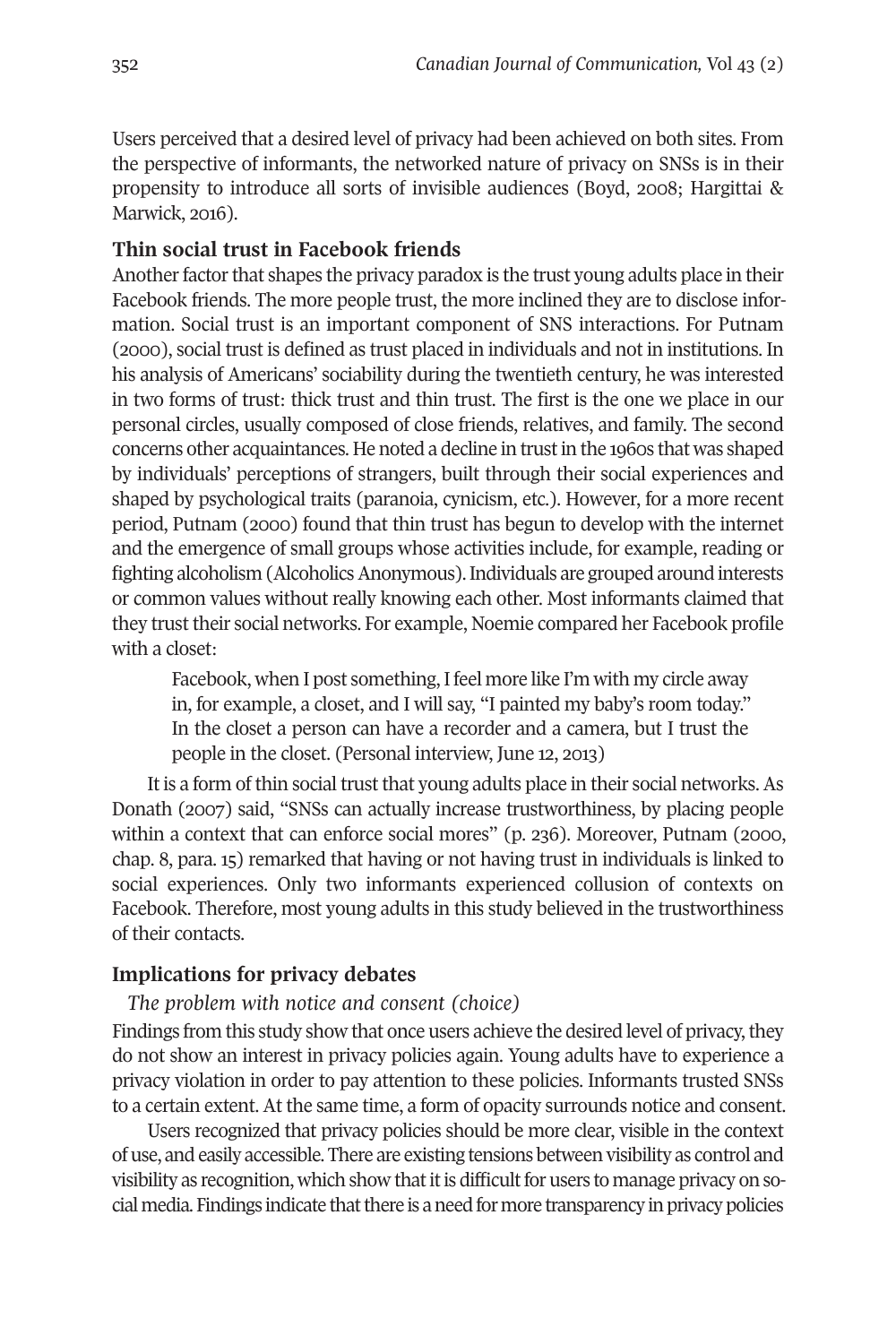Users perceived that a desired level of privacy had been achieved on both sites. From the perspective of informants, the networked nature of privacy on SNSs is in their propensity to introduce all sorts of invisible audiences (Boyd, 2008; Hargittai & Marwick, 2016).

# **Thin social trust in Facebook friends**

Another factor that shapes the privacy paradox is the trust young adults place in their Facebook friends. The more people trust, the more inclined they are to disclose information. Social trust is an important component of SNS interactions. For Putnam (2000), social trust is defined as trust placed in individuals and not in institutions. In his analysis of Americans' sociability during the twentieth century, he was interested in two forms of trust: thick trust and thin trust. The first is the one we place in our personal circles, usually composed of close friends, relatives, and family. The second concerns other acquaintances. He noted a decline in trustin the 1960s that was shaped by individuals' perceptions of strangers, built through their social experiences and shaped by psychological traits (paranoia, cynicism, etc.). However, for a more recent period, Putnam (2000) found that thin trust has begun to develop with the internet and the emergence of small groups whose activities include, for example, reading or fighting alcoholism (AlcoholicsAnonymous).Individuals are grouped around interests or common values without really knowing each other. Most informants claimed that they trust their social networks. For example, Noemie compared her Facebook profile with a closet:

Facebook, when I post something, I feel more like I'm with my circle away in, for example, a closet, and I will say, "I painted my baby's room today." In the closet a person can have a recorder and a camera, but I trust the people in the closet. (Personal interview, June 12, 2013)

It is a form of thin social trust that young adults place in their social networks. As Donath (2007) said, "SNSs can actually increase trustworthiness, by placing people within a context that can enforce social mores" (p. 236). Moreover, Putnam (2000, chap. 8, para. 15) remarked that having or not having trust in individuals is linked to social experiences. Only two informants experienced collusion of contexts on Facebook. Therefore, most young adults in this study believed in the trustworthiness of their contacts.

# **Implications for privacy debates**

#### *The problem with notice and consent (choice)*

Findings from this study show that once users achieve the desired level of privacy, they do not show an interest in privacy policies again. Young adults have to experience a privacy violation in order to pay attention to these policies. Informants trusted SNSs to a certain extent. At the same time, a form of opacity surrounds notice and consent.

Users recognized that privacy policies should be more clear, visible in the context ofuse, and easily accessible.There are existing tensions betweenvisibility as control and visibility as recognition, which show that it is difficult for users to manage privacy on social media. Findings indicate that there is a need for more transparency in privacy policies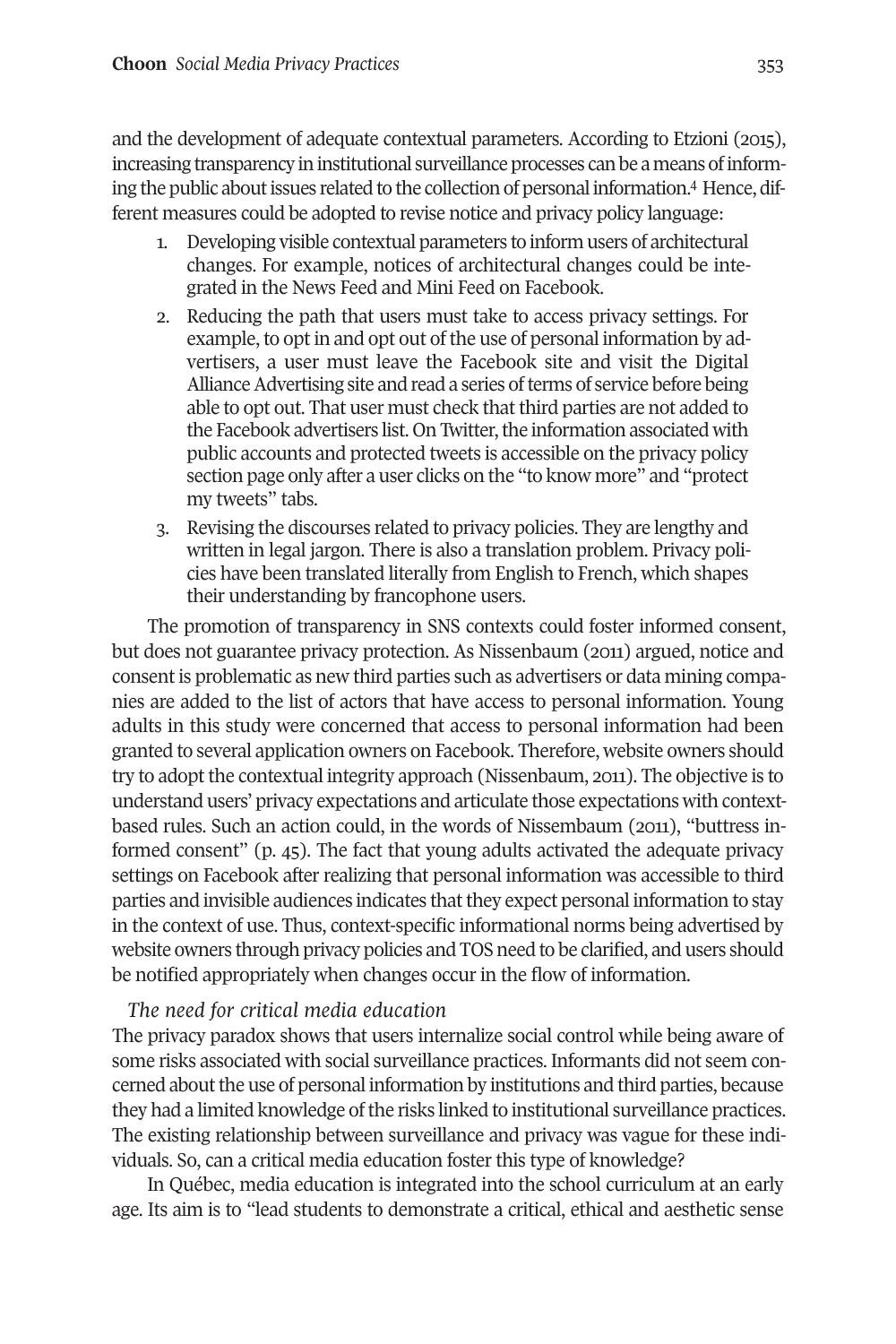and the development of adequate contextual parameters. According to Etzioni (2015), increasing tr[ans](#page-16-3)parency in institutional surveillance processes can be a means of informing the public about issues related to the collection of personal information.<sup>4</sup> Hence, different measures could be adopted to revise notice and privacy policy language:

- 1. Developing visible contextual parameters to inform users of architectural changes. For example, notices of architectural changes could be integrated in the News Feed and Mini Feed on Facebook.
- 2. Reducing the path that users must take to access privacy settings. For example, to opt in and opt out of the use of personal information by advertisers, a user must leave the Facebook site and visit the Digital Alliance Advertising site and read a series of terms of service before being able to opt out. That user must check that third parties are not added to the Facebook advertisers list. On Twitter, the information associated with public accounts and protected tweets is accessible on the privacy policy section page only after a user clicks on the "to know more" and "protect my tweets" tabs.
- 3. Revising the discourses related to privacy policies. They are lengthy and written in legal jargon. There is also a translation problem. Privacy policies have been translated literally from English to French, which shapes their understanding by francophone users.

The promotion of transparency in SNS contexts could foster informed consent, but does not guarantee privacy protection. As Nissenbaum (2011) argued, notice and consent is problematic as new third parties such as advertisers or data mining companies are added to the list of actors that have access to personal information. Young adults in this study were concerned that access to personal information had been granted to several application owners on Facebook. Therefore, website owners should try to adopt the contextual integrity approach (Nissenbaum, 2011). The objective is to understand users' privacy expectations and articulate those expectations with contextbased rules. Such an action could, in the words of Nissembaum (2011), "buttress informed consent" (p. 45). The fact that young adults activated the adequate privacy settings on Facebook after realizing that personal information was accessible to third parties and invisible audiences indicates that they expect personal information to stay in the context of use. Thus, context-specific informational norms being advertised by website owners through privacy policies and TOS need to be clarified, and users should be notified appropriately when changes occur in the flow of information.

# *The need for critical media education*

The privacy paradox shows that users internalize social control while being aware of some risks associated with social surveillance practices. Informants did not seem concerned about the use of personal information by institutions and third parties, because they had a limited knowledge of the risks linked to institutional surveillance practices. The existing relationship between surveillance and privacy was vague for these individuals. So, can a critical media education foster this type of knowledge?

In Québec, media education is integrated into the school curriculum at an early age. Its aim is to "lead students to demonstrate a critical, ethical and aesthetic sense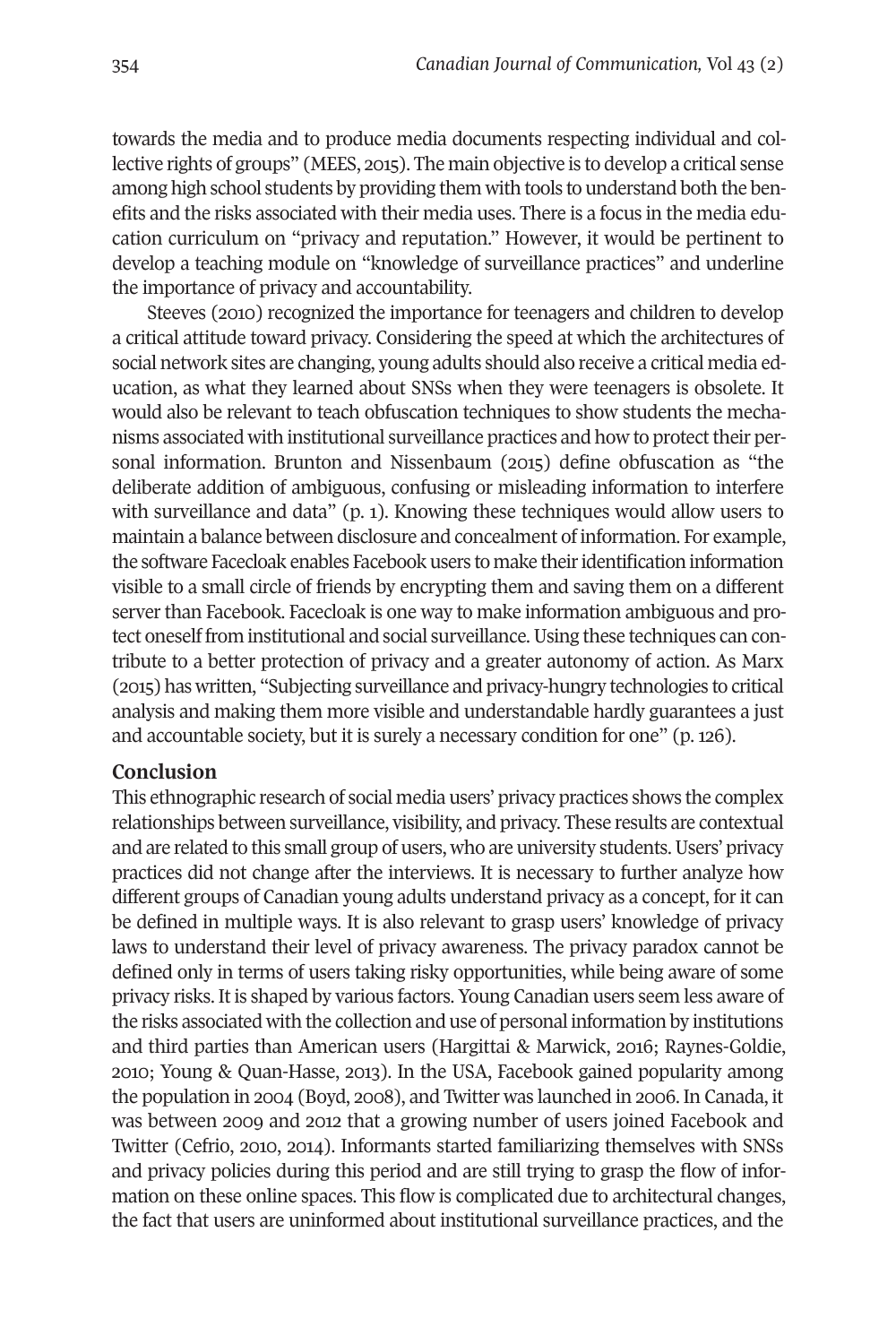towards the media and to produce media documents respecting individual and collective rights of groups" (MEES, 2015). The main objective is to develop a critical sense among high school students by providing them with tools to understand both the benefits and the risks associated with their media uses. There is a focus in the media education curriculum on "privacy and reputation." However, it would be pertinent to develop a teaching module on "knowledge of surveillance practices" and underline the importance of privacy and accountability.

Steeves (2010) recognized the importance for teenagers and children to develop a critical attitude toward privacy. Considering the speed at which the architectures of social network sites are changing, young adults should also receive a critical media education, as what they learned about SNSs when they were teenagers is obsolete. It would also be relevant to teach obfuscation techniques to show students the mechanisms associated with institutional surveillance practices and how to protecttheir personal information. Brunton and Nissenbaum (2015) define obfuscation as "the deliberate addition of ambiguous, confusing or misleading information to interfere with surveillance and data" (p. 1). Knowing these techniques would allow users to maintain a balance between disclosure and concealment of information. For example, the software Facecloak enables Facebook users to make theiridentification information visible to a small circle of friends by encrypting them and saving them on a different server than Facebook. Facecloak is one way to make information ambiguous and protect oneself from institutional and social surveillance. Using these techniques can contribute to a better protection of privacy and a greater autonomy of action. As Marx (2015) has written, "Subjecting surveillance and privacy-hungry technologies to critical analysis and making them more visible and understandable hardly guarantees a just and accountable society, but it is surely a necessary condition for one" (p. 126).

# **Conclusion**

This ethnographic research of social media users' privacy practices shows the complex relationships between surveillance, visibility, and privacy. These results are contextual and are related to this small group of users, who are university students.Users' privacy practices did not change after the interviews. It is necessary to further analyze how different groups of Canadian young adults understand privacy as a concept, for it can be defined in multiple ways. It is also relevant to grasp users' knowledge of privacy laws to understand their level of privacy awareness. The privacy paradox cannot be defined only in terms of users taking risky opportunities, while being aware of some privacy risks. It is shaped by various factors. Young Canadian users seem less aware of the risks associated with the collection and use of personal information by institutions and third parties than American users (Hargittai & Marwick, 2016; Raynes-Goldie, 2010; Young & Quan-Hasse, 2013). In the USA, Facebook gained popularity among the population in 2004 (Boyd, 2008), and Twitter was launched in 2006. In Canada, it was between 2009 and 2012 that a growing number of users joined Facebook and Twitter (Cefrio, 2010, 2014). Informants started familiarizing themselves with SNSs and privacy policies during this period and are still trying to grasp the flow of information on these online spaces. This flow is complicated due to architectural changes, the fact that users are uninformed about institutional surveillance practices, and the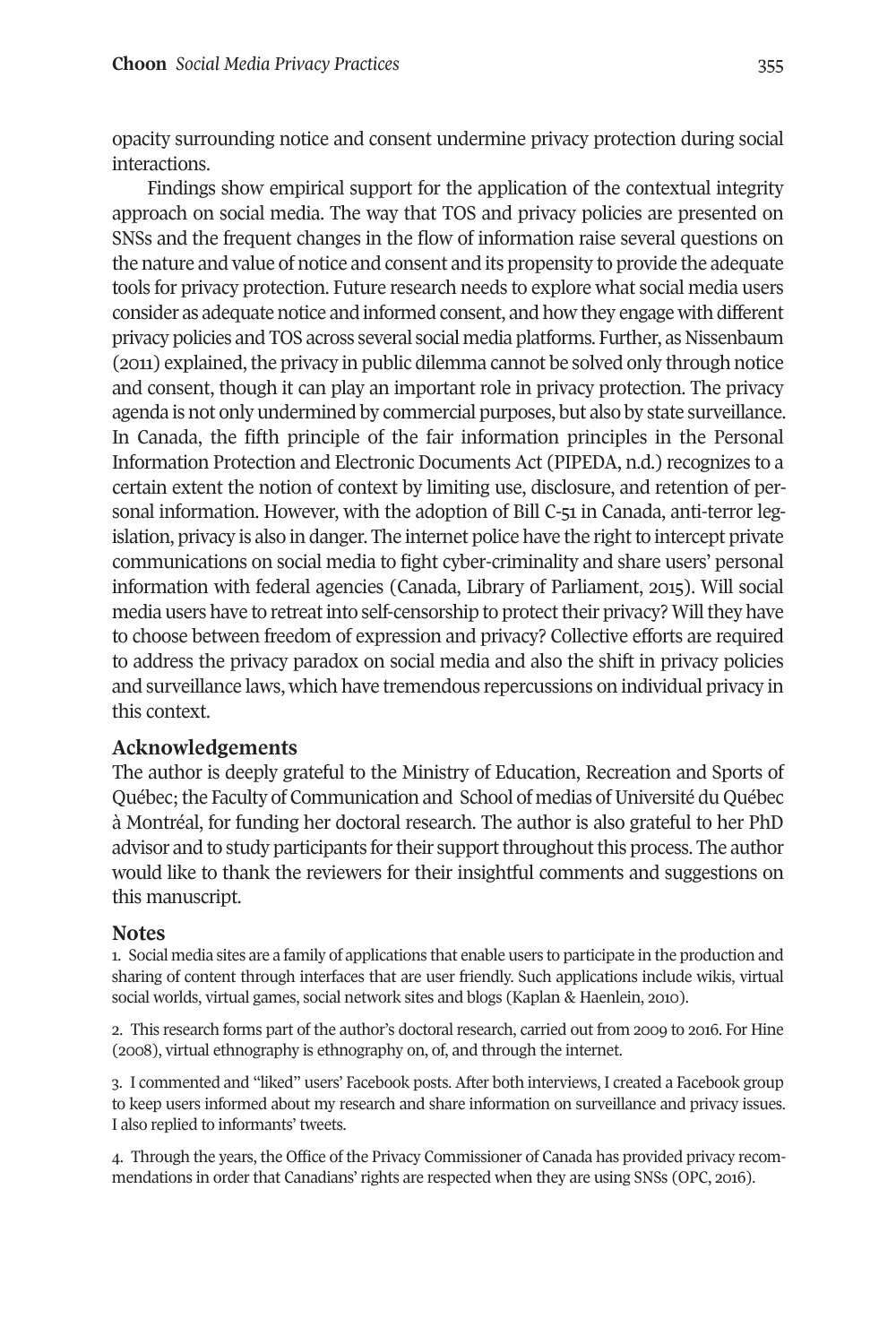opacity surrounding notice and consent undermine privacy protection during social interactions.

Findings show empirical support for the application of the contextual integrity approach on social media. The way that TOS and privacy policies are presented on SNSs and the frequent changes in the flow of information raise several questions on the nature and value of notice and consent and its propensity to provide the adequate tools for privacy protection. Future research needs to explore what social media users consider as adequate notice and informed consent, and how they engage with different privacy policies and TOS across several social media platforms. Further, as Nissenbaum (2011) explained, the privacy in public dilemma cannot be solved only through notice and consent, though it can play an important role in privacy protection. The privacy agenda is not only undermined by commercial purposes, but also by state surveillance. In Canada, the fifth principle of the fair information principles in the Personal Information Protection and Electronic Documents Act (PIPEDA, n.d.) recognizes to a certain extent the notion of context by limiting use, disclosure, and retention of personal information. However, with the adoption of Bill C-51 in Canada, anti-terror legislation, privacy is also in danger. The internet police have the right to intercept private communications on social media to fight cyber-criminality and share users' personal information with federal agencies (Canada, Library of Parliament, 2015). Will social media users have to retreat into self-censorship to protect their privacy? Will they have to choose between freedom of expression and privacy? Collective efforts are required to address the privacy paradox on social media and also the shift in privacy policies and surveillance laws, which have tremendous repercussions on individual privacy in this context.

# **Acknowledgements**

The author is deeply grateful to the Ministry of Education, Recreation and Sports of Québec; the Faculty of Communication and School of medias of Université du Québec à Montréal, for funding her doctoral research. The author is also grateful to her PhD advisor and to study participants for their support throughout this process. The author would like to thank the reviewers for their insightful comments and suggestions on this manuscript.

# <span id="page-16-0"></span>**Notes**

1. Social media sites are a family of applications that enable users to participate in the production and sharing of content through interfaces that are user friendly. Such applications include wikis, virtual social worlds, virtual games, social network sites and blogs (Kaplan & Haenlein, 2010).

<span id="page-16-1"></span>2. This research forms part of the author's doctoral research, carried out from 2009 to 2016. For Hine (2008), virtual ethnography is ethnography on, of, and through the internet.

<span id="page-16-2"></span>3. I commented and "liked" users' Facebook posts. After both interviews, I created a Facebook group to keep users informed about my research and share information on surveillance and privacy issues. I also replied to informants' tweets.

<span id="page-16-3"></span>4. Through the years, the Office of the Privacy Commissioner of Canada has provided privacy recommendations in order that Canadians' rights are respected when they are using SNSs (OPC, 2016).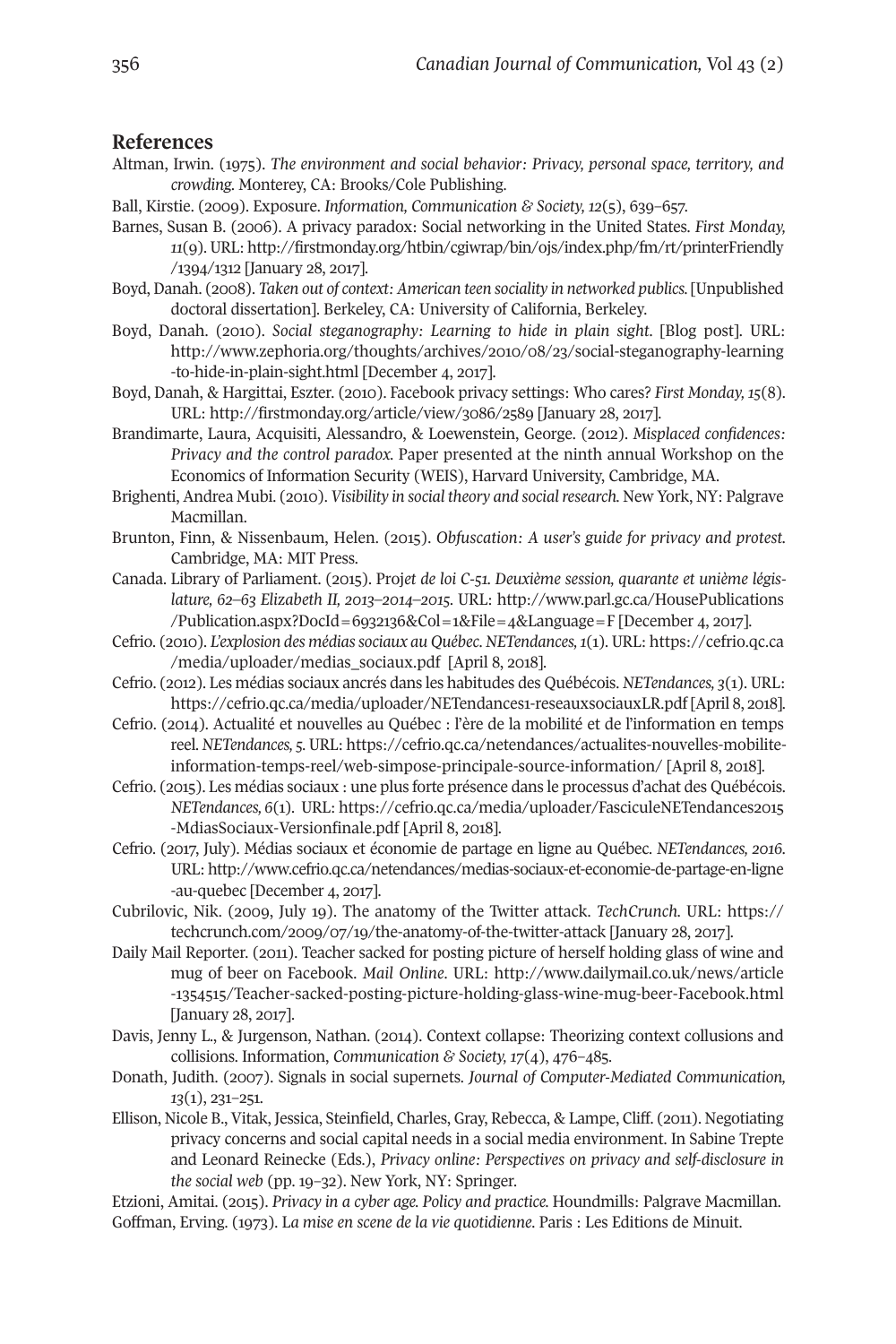#### **References**

- Altman, Irwin. (1975). *The environment and social behavior: Privacy, personal space, territory, and crowding.* Monterey, CA: Brooks/Cole Publishing.
- Ball, Kirstie. (2009). Exposure. *Information, Communication & Society, 12*(5), 639–657.
- Barnes, Susan B. (2006). A privacy paradox: Social networking in the United States. *First Monday, 11*(9).URL: [http://firstmonday.org/htbin/cgiwrap/bin/ojs/index.php/fm/rt/printerFriendly](http://firstmonday.org/htbin/cgiwrap/bin/ojs/index.php/fm/rt/printerFriendly/1394/1312) [/1394/1312](http://firstmonday.org/htbin/cgiwrap/bin/ojs/index.php/fm/rt/printerFriendly/1394/1312) [January 28, 2017].
- Boyd, Danah. (2008). *Taken out of context: American teen sociality in networked publics.* [Unpublished doctoral dissertation]. Berkeley, CA: University of California, Berkeley.
- Boyd, Danah. (2010). *Social steganography: Learning to hide in plain sight*. [Blog post]. URL: [http://www.zephoria.org/thoughts/archives/2010/08/23/social-steganography-learning](http://www.zephoria.org/thoughts/archives/2010/08/23/social-steganography-learning-to-hide-in-plain-sight.html) [-to-hide-in-plain-sight.html](http://www.zephoria.org/thoughts/archives/2010/08/23/social-steganography-learning-to-hide-in-plain-sight.html) [December 4, 2017].
- Boyd, Danah, & Hargittai, Eszter. (2010). Facebook privacy settings: Who cares? *First Monday, 15*(8). URL: <http://firstmonday.org/article/view/3086/2589> [January 28, 2017].
- Brandimarte, Laura, Acquisiti, Alessandro, & Loewenstein, George. (2012). *Misplaced confidences: Privacy and the control paradox.* Paper presented at the ninth annual Workshop on the Economics of Information Security (WEIS), Harvard University, Cambridge, MA.
- Brighenti, Andrea Mubi. (2010). *Visibility in social theory and socialresearch.* New York, NY: Palgrave Macmillan.
- Brunton, Finn, & Nissenbaum, Helen. (2015). *Obfuscation: A user's guide for privacy and protest.* Cambridge, MA: MIT Press.
- Canada. Library of Parliament. (2015). Proj*et de loi C-51. Deuxième session, quarante et unième législature, 62–63 Elizabeth II, 2013–2014–2015.* URL: [http://www.parl.gc.ca/HousePublications](http://www.parl.gc.ca/HousePublications/Publication.aspx?DocId=6932136&Col=1&File=4&Language=F) [/Publication.aspx?DocId=6932136&Col=1&File=4&Language=F](http://www.parl.gc.ca/HousePublications/Publication.aspx?DocId=6932136&Col=1&File=4&Language=F) [December 4, 2017].
- Cefrio. (2010). *L'explosion des médiassociaux au Québec*. *NETendances,1*(1). URL: [https://cefrio.qc.ca](https://cefrio.qc.ca/media/uploader/medias_sociaux.pdf) [/media/uploader/medias\\_sociaux.pdf](https://cefrio.qc.ca/media/uploader/medias_sociaux.pdf) [April 8, 2018].
- Cefrio. (2012). Les médias sociaux ancrés dans les habitudes des Québécois. *NETendances, 3*(1). URL: <https://cefrio.qc.ca/media/uploader/NETendances1-reseauxsociauxLR.pdf> [April 8, 2018].
- Cefrio. (2014). Actualité et nouvelles au Québec : l'ère de la mobilité et de l'information en temps reel.*NETendances, 5.* URL: [https://cefrio.qc.ca/netendances/actualites-nouvelles-mobilite](https://cefrio.qc.ca/netendances/actualites-nouvelles-mobilite-information-temps-reel/web-simpose-principale-source-information/)[information-temps-reel/web-simpose-principale-source-information/](https://cefrio.qc.ca/netendances/actualites-nouvelles-mobilite-information-temps-reel/web-simpose-principale-source-information/) [April 8, 2018].
- Cefrio. (2015). Les médias sociaux : une plus forte présence dans le processus d'achat des Québécois. *NETendances,*  $6(1)$ . URL: [https://cefrio.qc.ca/media/uploader/FasciculeNETendances2015](https://cefrio.qc.ca/media/uploader/FasciculeNETendances2015-MdiasSociaux-Versionfinale.pdf) [-MdiasSociaux-Versionfinale.pdf](https://cefrio.qc.ca/media/uploader/FasciculeNETendances2015-MdiasSociaux-Versionfinale.pdf) [April 8, 2018].
- Cefrio. (2017, July). Médias sociaux et économie de partage en ligne au Québec. *NETendances, 2016.* URL: [http://www.cefrio.qc.ca/netendances/medias-sociaux-et-economie-de-partage-en-ligne](http://www.cefrio.qc.ca/netendances/medias-sociaux-et-economie-de-partage-en-ligne-au-quebec) [-au-quebec](http://www.cefrio.qc.ca/netendances/medias-sociaux-et-economie-de-partage-en-ligne-au-quebec) [December 4, 2017].
- Cubrilovic, Nik. (2009, July 19). The anatomy of the Twitter attack. *TechCrunch.* URL: [https://](https://techcrunch.com/2009/07/19/the-anatomy-of-the-twitter-attack) [techcrunch.com/2009/07/19/the-anatomy-of-the-twitter-attack](https://techcrunch.com/2009/07/19/the-anatomy-of-the-twitter-attack) [January 28, 2017].
- Daily Mail Reporter. (2011). Teacher sacked for posting picture of herself holding glass of wine and mug of beer on Facebook. *Mail Online*. URL: [http://www.dailymail.co.uk/news/article](http://www.dailymail.co.uk/news/article-1354515/Teacher-sacked-posting-picture-holding-glass-wine-mug-beer-Facebook.html) [-1354515/Teacher-sacked-posting-picture-holding-glass-wine-mug-beer-Facebook.html](http://www.dailymail.co.uk/news/article-1354515/Teacher-sacked-posting-picture-holding-glass-wine-mug-beer-Facebook.html) [January 28, 2017].
- Davis, Jenny L., & Jurgenson, Nathan. (2014). Context collapse: Theorizing context collusions and collisions. Information, *Communication & Society, 17*(4), 476–485.
- Donath, Judith. (2007). Signals in social supernets. *Journal of Computer-Mediated Communication, 13*(1), 231–251.
- Ellison, Nicole B., Vitak, Jessica, Steinfield, Charles, Gray, Rebecca, & Lampe, Cliff. (2011). Negotiating privacy concerns and social capital needs in a social media environment. In Sabine Trepte and Leonard Reinecke (Eds.), *Privacy online: Perspectives on privacy and self-disclosure in the social web* (pp. 19–32). New York, NY: Springer.
- Etzioni, Amitai. (2015). *Privacy in a cyber age. Policy and practice.* Houndmills: Palgrave Macmillan.

Goffman, Erving. (1973). L*a mise en scene de la vie quotidienne*. Paris : Les Editions de Minuit.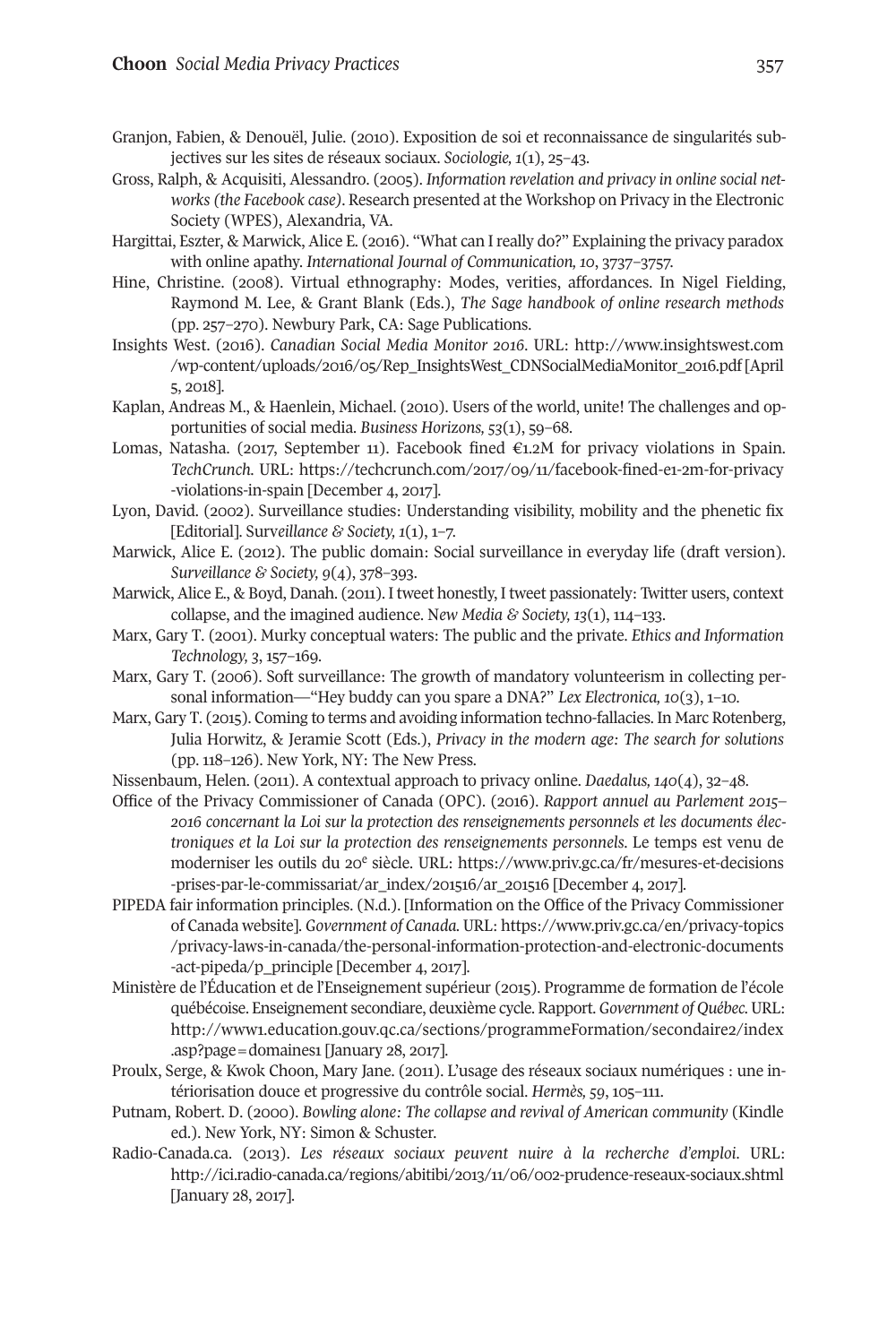- Granjon, Fabien, & Denouël, Julie. (2010). Exposition de soi et reconnaissance de singularités subjectives sur les sites de réseaux sociaux. *Sociologie, 1*(1), 25–43.
- Gross, Ralph, & Acquisiti, Alessandro. (2005). *Information revelation and privacy in online social networks (the Facebook case).* Research presented at the Workshop on Privacy in the Electronic Society (WPES), Alexandria, VA.
- Hargittai, Eszter, & Marwick, Alice E. (2016). "What can Ireally do?" Explaining the privacy paradox with online apathy. *International Journal of Communication, 10*, 3737–3757.
- Hine, Christine. (2008). Virtual ethnography: Modes, verities, affordances. In Nigel Fielding, Raymond M. Lee, & Grant Blank (Eds.), *The Sage handbook of online research methods* (pp. 257–270). Newbury Park, CA: Sage Publications.
- Insights West. (2016). *Canadian Social Media Monitor 2016*. URL: [http://www.insightswest.com](http://www.insightswest.com/wp-content/uploads/2016/05/Rep_InsightsWest_CDNSocialMediaMonitor_2016.pdf%5bApril) [/wp-content/uploads/2016/05/Rep\\_InsightsWest\\_CDNSocialMediaMonitor\\_2016.pdf](http://www.insightswest.com/wp-content/uploads/2016/05/Rep_InsightsWest_CDNSocialMediaMonitor_2016.pdf%5bApril) [April 5, 2018].
- Kaplan, Andreas M., & Haenlein, Michael. (2010). Users of the world, unite! The challenges and opportunities of social media. *Business Horizons, 53*(1), 59–68.
- Lomas, Natasha. (2017, September 11). Facebook fined  $\epsilon$ 1.2M for privacy violations in Spain. *TechCrunch.* URL: [https://techcrunch.com/2017/09/11/facebook-fined-e1-2m-for-privacy](https://techcrunch.com/2017/09/11/facebook-fined-e1-2m-for-privacy-violations-in-spain) [-violations-in-spain](https://techcrunch.com/2017/09/11/facebook-fined-e1-2m-for-privacy-violations-in-spain) [December 4, 2017].
- Lyon, David. (2002). Surveillance studies: Understanding visibility, mobility and the phenetic fix [Editorial]. Surv*eillance & Society, 1*(1), 1–7.
- Marwick, Alice E. (2012). The public domain: Social surveillance in everyday life (draft version). *Surveillance & Society, 9*(4), 378–393.
- Marwick, Alice E., & Boyd, Danah. (2011). I tweet honestly, I tweet passionately: Twitter users, context collapse, and the imagined audience. N*ew Media & Society, 13*(1), 114–133.
- Marx, Gary T. (2001). Murky conceptual waters: The public and the private. *Ethics and Information Technology, 3*, 157–169.
- Marx, Gary T. (2006). Soft surveillance: The growth of mandatory volunteerism in collecting personal information—"Hey buddy can you spare a DNA?" *Lex Electronica, 10*(3), 1–10.
- Marx, Gary T. (2015). Coming to terms and avoiding information techno-fallacies. In Marc Rotenberg, Julia Horwitz, & Jeramie Scott (Eds.), *Privacy in the modern age: The search for solutions* (pp. 118–126). New York, NY: The New Press.
- Nissenbaum, Helen. (2011). A contextual approach to privacy online. *Daedalus, 140*(4), 32–48.
- Office of the Privacy Commissioner of Canada (OPC). (2016). *Rapport annuel au Parlement 2015– 2016 concernant la Loi sur la protection des renseignements personnels et les documents électroniques et la Loi sur la protection des renseignements personnels.* Le temps est venu de moderniser les outils du 20<sup>e</sup> siècle. URL: [https://www.priv.gc.ca/fr/mesures-et-decisions](https://www.priv.gc.ca/fr/mesures-et-decisions-prises-par-le-commissariat/ar_index/201516/ar_201516) [-prises-par-le-commissariat/ar\\_index/201516/ar\\_201516](https://www.priv.gc.ca/fr/mesures-et-decisions-prises-par-le-commissariat/ar_index/201516/ar_201516) [December 4, 2017].
- PIPEDA fair information principles. (N.d.). [Information on the Office of the Privacy Commissioner of Canada website]. *Government of Canada.* URL: [https://www.priv.gc.ca/en/privacy-topics](https://www.priv.gc.ca/en/privacy-topics/privacy-laws-in-canada/the-personal-information-protection-and-electronic-documents-act-pipeda/p_principle) [/privacy-laws-in-canada/the-personal-information-protection-and-electronic-documents](https://www.priv.gc.ca/en/privacy-topics/privacy-laws-in-canada/the-personal-information-protection-and-electronic-documents-act-pipeda/p_principle) [-act-pipeda/p\\_principle](https://www.priv.gc.ca/en/privacy-topics/privacy-laws-in-canada/the-personal-information-protection-and-electronic-documents-act-pipeda/p_principle) [December 4, 2017].
- Ministère de l'Éducation et de l'Enseignement supérieur (2015). Programme de formation de l'école québécoise. Enseignement secondiare, deuxième cycle. Rapport. *Government of Québec*.URL: [http://www1.education.gouv.qc.ca/sections/programmeFormation/secondaire2/index](http://www1.education.gouv.qc.ca/sections/programmeFormation/secondaire2/index.asp?page=domaines1) [.asp?page=domaines1](http://www1.education.gouv.qc.ca/sections/programmeFormation/secondaire2/index.asp?page=domaines1) [January 28, 2017].
- Proulx, Serge, & Kwok Choon, Mary Jane. (2011). L'usage des réseaux sociaux numériques : une intériorisation douce et progressive du contrôle social. *Hermès, 59*, 105–111.
- Putnam, Robert. D. (2000). *Bowling alone: The collapse and revival of American community* (Kindle ed.). New York, NY: Simon & Schuster.
- Radio-Canada.ca. (2013). *Les réseaux sociaux peuvent nuire à la recherche d'emploi*. URL: <http://ici.radio-canada.ca/regions/abitibi/2013/11/06/002-prudence-reseaux-sociaux.shtml> [January 28, 2017].